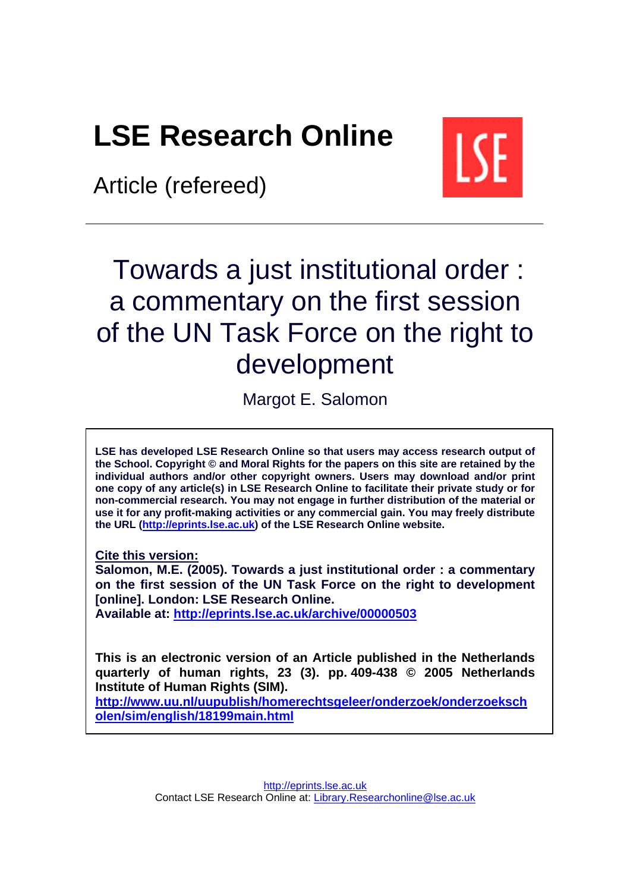# **LSE Research Online**



Article (refereed)

# Towards a just institutional order : a commentary on the first session of the UN Task Force on the right to development

Margot E. Salomon

**LSE has developed LSE Research Online so that users may access research output of the School. Copyright © and Moral Rights for the papers on this site are retained by the individual authors and/or other copyright owners. Users may download and/or print one copy of any article(s) in LSE Research Online to facilitate their private study or for non-commercial research. You may not engage in further distribution of the material or use it for any profit-making activities or any commercial gain. You may freely distribute the URL [\(http://eprints.lse.ac.uk\)](http://eprints.lse.ac.uk/) of the LSE Research Online website.** 

**Cite this version:** 

**Salomon, M.E. (2005). Towards a just institutional order : a commentary on the first session of the UN Task Force on the right to development [online]. London: LSE Research Online.** 

**Available at: <http://eprints.lse.ac.uk/archive/00000503>**

**This is an electronic version of an Article published in the Netherlands quarterly of human rights, 23 (3). pp. 409-438 © 2005 Netherlands Institute of Human Rights (SIM).** 

**[http://www.uu.nl/uupublish/homerechtsgeleer/onderzoek/onderzoeksch](http://www.uu.nl/uupublish/homerechtsgeleer/onderzoek/onderzoekscholen/sim/english/18199main.html) [olen/sim/english/18199main.html](http://www.uu.nl/uupublish/homerechtsgeleer/onderzoek/onderzoekscholen/sim/english/18199main.html)**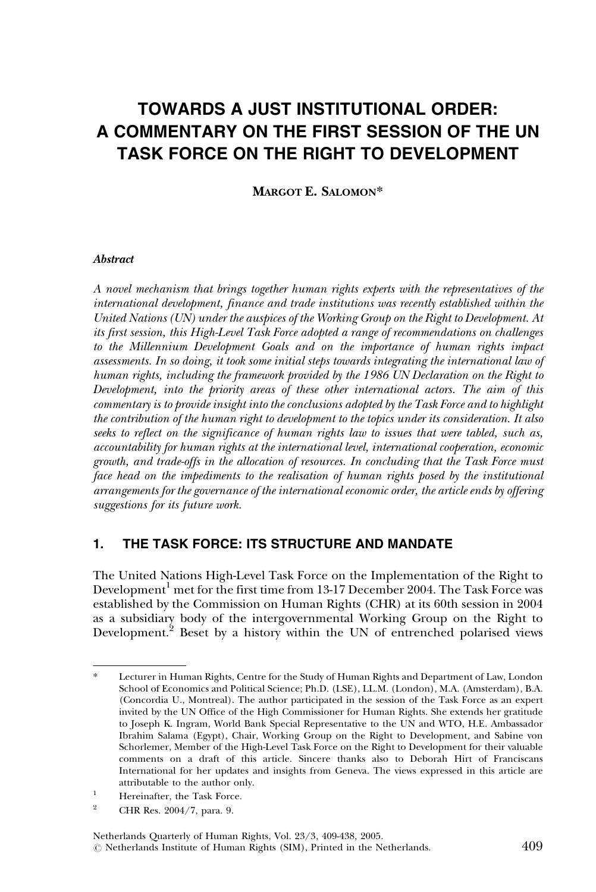# TOWARDS A JUST INSTITUTIONAL ORDER: A COMMENTARY ON THE FIRST SESSION OF THE UN TASK FORCE ON THE RIGHT TO DEVELOPMENT

MARGOT E. SALOMON\*

#### **Abstract**

A novel mechanism that brings together human rights experts with the representatives of the international development, finance and trade institutions was recently established within the United Nations (UN) under the auspices of the Working Group on the Right to Development. At its first session, this High-Level Task Force adopted a range of recommendations on challenges to the Millennium Development Goals and on the importance of human rights impact assessments. In so doing, it took some initial steps towards integrating the international law of human rights, including the framework provided by the 1986 UN Declaration on the Right to Development, into the priority areas of these other international actors. The aim of this commentary is to provide insight into the conclusions adopted by the Task Force and to highlight the contribution of the human right to development to the topics under its consideration. It also seeks to reflect on the significance of human rights law to issues that were tabled, such as, accountability for human rights at the international level, international cooperation, economic growth, and trade-offs in the allocation of resources. In concluding that the Task Force must face head on the impediments to the realisation of human rights posed by the institutional arrangements for the governance of the international economic order, the article ends by offering suggestions for its future work.

# 1. THE TASK FORCE: ITS STRUCTURE AND MANDATE

The United Nations High-Level Task Force on the Implementation of the Right to Development<sup>1</sup> met for the first time from  $13-17$  December 2004. The Task Force was established by the Commission on Human Rights (CHR) at its 60th session in 2004 as a subsidiary body of the intergovernmental Working Group on the Right to Development.<sup>2</sup> Beset by a history within the UN of entrenched polarised views

Lecturer in Human Rights, Centre for the Study of Human Rights and Department of Law, London School of Economics and Political Science; Ph.D. (LSE), LL.M. (London), M.A. (Amsterdam), B.A. (Concordia U., Montreal). The author participated in the session of the Task Force as an expert invited by the UN Office of the High Commissioner for Human Rights. She extends her gratitude to Joseph K. Ingram, World Bank Special Representative to the UN and WTO, H.E. Ambassador Ibrahim Salama (Egypt), Chair, Working Group on the Right to Development, and Sabine von Schorlemer, Member of the High-Level Task Force on the Right to Development for their valuable comments on a draft of this article. Sincere thanks also to Deborah Hirt of Franciscans International for her updates and insights from Geneva. The views expressed in this article are attributable to the author only.

<sup>&</sup>lt;sup>1</sup> Hereinafter, the Task Force.

<sup>2</sup> CHR Res. 2004/7, para. 9.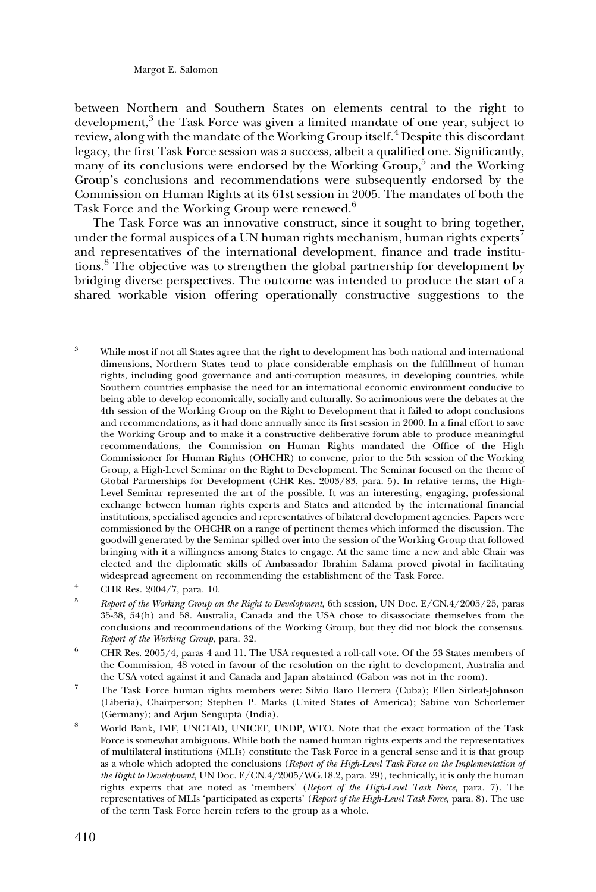between Northern and Southern States on elements central to the right to development, $3$  the Task Force was given a limited mandate of one year, subject to review, along with the mandate of the Working Group itself.<sup>4</sup> Despite this discordant legacy, the first Task Force session was a success, albeit a qualified one. Significantly, many of its conclusions were endorsed by the Working Group,<sup>5</sup> and the Working Group's conclusions and recommendations were subsequently endorsed by the Commission on Human Rights at its 61st session in 2005. The mandates of both the Task Force and the Working Group were renewed.<sup>6</sup>

The Task Force was an innovative construct, since it sought to bring together, under the formal auspices of a UN human rights mechanism, human rights  $experts<sup>7</sup>$ and representatives of the international development, finance and trade institutions.<sup>8</sup> The objective was to strengthen the global partnership for development by bridging diverse perspectives. The outcome was intended to produce the start of a shared workable vision offering operationally constructive suggestions to the

<sup>3</sup> While most if not all States agree that the right to development has both national and international dimensions, Northern States tend to place considerable emphasis on the fulfillment of human rights, including good governance and anti-corruption measures, in developing countries, while Southern countries emphasise the need for an international economic environment conducive to being able to develop economically, socially and culturally. So acrimonious were the debates at the 4th session of the Working Group on the Right to Development that it failed to adopt conclusions and recommendations, as it had done annually since its first session in 2000. In a final effort to save the Working Group and to make it a constructive deliberative forum able to produce meaningful recommendations, the Commission on Human Rights mandated the Office of the High Commissioner for Human Rights (OHCHR) to convene, prior to the 5th session of the Working Group, a High-Level Seminar on the Right to Development. The Seminar focused on the theme of Global Partnerships for Development (CHR Res. 2003/83, para. 5). In relative terms, the High-Level Seminar represented the art of the possible. It was an interesting, engaging, professional exchange between human rights experts and States and attended by the international financial institutions, specialised agencies and representatives of bilateral development agencies. Papers were commissioned by the OHCHR on a range of pertinent themes which informed the discussion. The goodwill generated by the Seminar spilled over into the session of the Working Group that followed bringing with it a willingness among States to engage. At the same time a new and able Chair was elected and the diplomatic skills of Ambassador Ibrahim Salama proved pivotal in facilitating widespread agreement on recommending the establishment of the Task Force.

<sup>&</sup>lt;sup>4</sup> CHR Res. 2004/7, para. 10.

<sup>5</sup> Report of the Working Group on the Right to Development, 6th session, UN Doc. E/CN.4/2005/25, paras 35-38, 54(h) and 58. Australia, Canada and the USA chose to disassociate themselves from the conclusions and recommendations of the Working Group, but they did not block the consensus. Report of the Working Group, para. 32.

 $6$  CHR Res. 2005/4, paras 4 and 11. The USA requested a roll-call vote. Of the 53 States members of the Commission, 48 voted in favour of the resolution on the right to development, Australia and the USA voted against it and Canada and Japan abstained (Gabon was not in the room).

<sup>7</sup> The Task Force human rights members were: Silvio Baro Herrera (Cuba); Ellen Sirleaf-Johnson (Liberia), Chairperson; Stephen P. Marks (United States of America); Sabine von Schorlemer (Germany); and Arjun Sengupta (India).

<sup>8</sup> World Bank, IMF, UNCTAD, UNICEF, UNDP, WTO. Note that the exact formation of the Task Force is somewhat ambiguous. While both the named human rights experts and the representatives of multilateral institutions (MLIs) constitute the Task Force in a general sense and it is that group as a whole which adopted the conclusions (Report of the High-Level Task Force on the Implementation of the Right to Development, UN Doc.  $E/CN.4/2005/WG.18.2$ , para. 29), technically, it is only the human rights experts that are noted as 'members' (Report of the High-Level Task Force, para. 7). The representatives of MLIs 'participated as experts' (Report of the High-Level Task Force, para. 8). The use of the term Task Force herein refers to the group as a whole.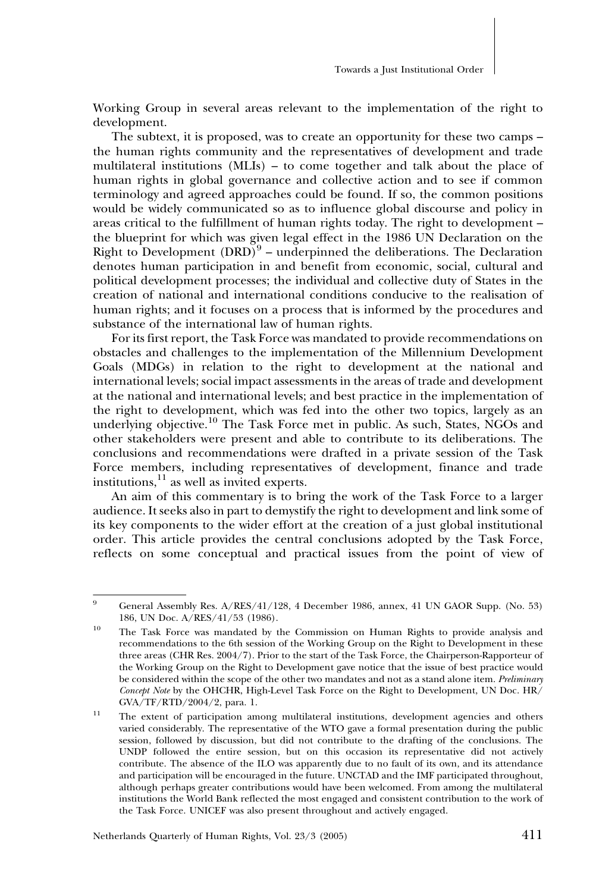Working Group in several areas relevant to the implementation of the right to development.

The subtext, it is proposed, was to create an opportunity for these two camps – the human rights community and the representatives of development and trade multilateral institutions (MLIs) – to come together and talk about the place of human rights in global governance and collective action and to see if common terminology and agreed approaches could be found. If so, the common positions would be widely communicated so as to influence global discourse and policy in areas critical to the fulfillment of human rights today. The right to development – the blueprint for which was given legal effect in the 1986 UN Declaration on the Right to Development  $(DRD)^9$  – underpinned the deliberations. The Declaration denotes human participation in and benefit from economic, social, cultural and political development processes; the individual and collective duty of States in the creation of national and international conditions conducive to the realisation of human rights; and it focuses on a process that is informed by the procedures and substance of the international law of human rights.

For its first report, the Task Force was mandated to provide recommendations on obstacles and challenges to the implementation of the Millennium Development Goals (MDGs) in relation to the right to development at the national and international levels; social impact assessments in the areas of trade and development at the national and international levels; and best practice in the implementation of the right to development, which was fed into the other two topics, largely as an underlying objective.<sup>10</sup> The Task Force met in public. As such, States, NGOs and other stakeholders were present and able to contribute to its deliberations. The conclusions and recommendations were drafted in a private session of the Task Force members, including representatives of development, finance and trade institutions, $\frac{11}{1}$  as well as invited experts.

An aim of this commentary is to bring the work of the Task Force to a larger audience. It seeks also in part to demystify the right to development and link some of its key components to the wider effort at the creation of a just global institutional order. This article provides the central conclusions adopted by the Task Force, reflects on some conceptual and practical issues from the point of view of

<sup>9</sup> General Assembly Res. A/RES/41/128, 4 December 1986, annex, 41 UN GAOR Supp. (No. 53) 186, UN Doc. A/RES/41/53 (1986).

<sup>&</sup>lt;sup>10</sup> The Task Force was mandated by the Commission on Human Rights to provide analysis and recommendations to the 6th session of the Working Group on the Right to Development in these three areas (CHR Res. 2004/7). Prior to the start of the Task Force, the Chairperson-Rapporteur of the Working Group on the Right to Development gave notice that the issue of best practice would be considered within the scope of the other two mandates and not as a stand alone item. Preliminary Concept Note by the OHCHR, High-Level Task Force on the Right to Development, UN Doc. HR/ GVA/TF/RTD/2004/2, para. 1.

<sup>&</sup>lt;sup>11</sup> The extent of participation among multilateral institutions, development agencies and others varied considerably. The representative of the WTO gave a formal presentation during the public session, followed by discussion, but did not contribute to the drafting of the conclusions. The UNDP followed the entire session, but on this occasion its representative did not actively contribute. The absence of the ILO was apparently due to no fault of its own, and its attendance and participation will be encouraged in the future. UNCTAD and the IMF participated throughout, although perhaps greater contributions would have been welcomed. From among the multilateral institutions the World Bank reflected the most engaged and consistent contribution to the work of the Task Force. UNICEF was also present throughout and actively engaged.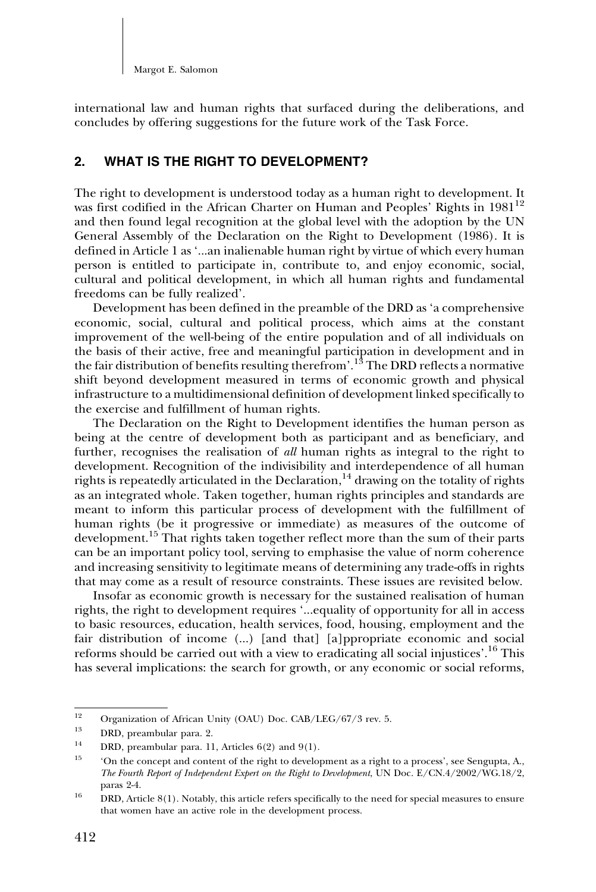international law and human rights that surfaced during the deliberations, and concludes by offering suggestions for the future work of the Task Force.

# 2. WHAT IS THE RIGHT TO DEVELOPMENT?

The right to development is understood today as a human right to development. It was first codified in the African Charter on Human and Peoples' Rights in 1981<sup>12</sup> and then found legal recognition at the global level with the adoption by the UN General Assembly of the Declaration on the Right to Development (1986). It is defined in Article 1 as '...an inalienable human right by virtue of which every human person is entitled to participate in, contribute to, and enjoy economic, social, cultural and political development, in which all human rights and fundamental freedoms can be fully realized'.

Development has been defined in the preamble of the DRD as 'a comprehensive economic, social, cultural and political process, which aims at the constant improvement of the well-being of the entire population and of all individuals on the basis of their active, free and meaningful participation in development and in the fair distribution of benefits resulting therefrom'.<sup>13</sup> The DRD reflects a normative shift beyond development measured in terms of economic growth and physical infrastructure to a multidimensional definition of development linked specifically to the exercise and fulfillment of human rights.

The Declaration on the Right to Development identifies the human person as being at the centre of development both as participant and as beneficiary, and further, recognises the realisation of all human rights as integral to the right to development. Recognition of the indivisibility and interdependence of all human rights is repeatedly articulated in the Declaration, $^{14}$  drawing on the totality of rights as an integrated whole. Taken together, human rights principles and standards are meant to inform this particular process of development with the fulfillment of human rights (be it progressive or immediate) as measures of the outcome of development.<sup>15</sup> That rights taken together reflect more than the sum of their parts can be an important policy tool, serving to emphasise the value of norm coherence and increasing sensitivity to legitimate means of determining any trade-offs in rights that may come as a result of resource constraints. These issues are revisited below.

Insofar as economic growth is necessary for the sustained realisation of human rights, the right to development requires '...equality of opportunity for all in access to basic resources, education, health services, food, housing, employment and the fair distribution of income (...) [and that] [a]ppropriate economic and social reforms should be carried out with a view to eradicating all social injustices'.<sup>16</sup> This has several implications: the search for growth, or any economic or social reforms,

<sup>&</sup>lt;sup>12</sup> Organization of African Unity (OAU) Doc. CAB/LEG/67/3 rev. 5.<br><sup>13</sup> DPD

 $13$  DRD, preambular para. 2.<br> $14$  DRD, presentation para. 11

DRD, preambular para. 11, Articles  $6(2)$  and  $9(1)$ .

<sup>&</sup>lt;sup>15</sup> 'On the concept and content of the right to development as a right to a process', see Sengupta, A., The Fourth Report of Independent Expert on the Right to Development, UN Doc. E/CN.4/2002/WG.18/2, paras 2-4.

<sup>&</sup>lt;sup>16</sup> DRD, Article 8(1). Notably, this article refers specifically to the need for special measures to ensure that women have an active role in the development process.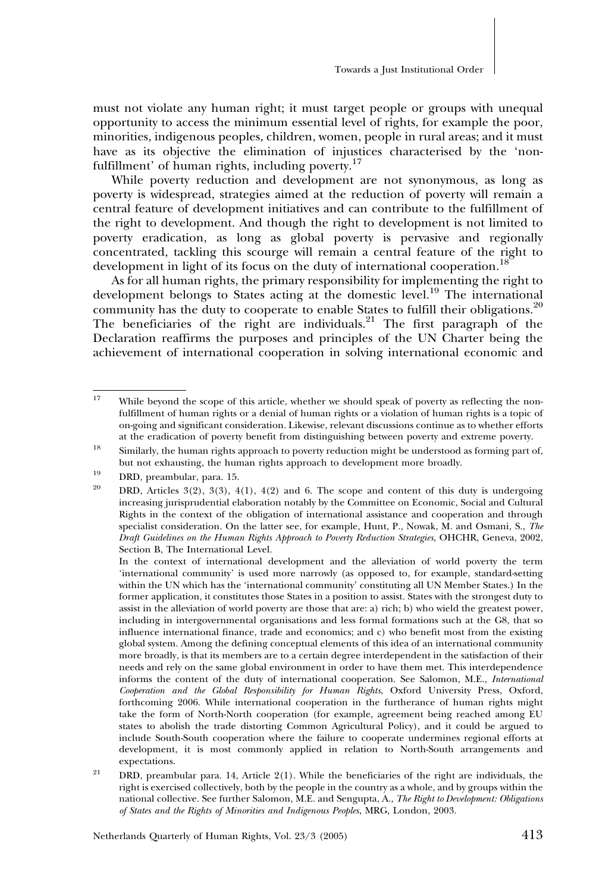must not violate any human right; it must target people or groups with unequal opportunity to access the minimum essential level of rights, for example the poor, minorities, indigenous peoples, children, women, people in rural areas; and it must have as its objective the elimination of injustices characterised by the 'nonfulfillment' of human rights, including poverty.<sup>17</sup>

While poverty reduction and development are not synonymous, as long as poverty is widespread, strategies aimed at the reduction of poverty will remain a central feature of development initiatives and can contribute to the fulfillment of the right to development. And though the right to development is not limited to poverty eradication, as long as global poverty is pervasive and regionally concentrated, tackling this scourge will remain a central feature of the right to development in light of its focus on the duty of international cooperation.<sup>18</sup>

As for all human rights, the primary responsibility for implementing the right to development belongs to States acting at the domestic level.<sup>19</sup> The international community has the duty to cooperate to enable States to fulfill their obligations.<sup>20</sup> The beneficiaries of the right are individuals.<sup>21</sup> The first paragraph of the Declaration reaffirms the purposes and principles of the UN Charter being the achievement of international cooperation in solving international economic and

In the context of international development and the alleviation of world poverty the term 'international community' is used more narrowly (as opposed to, for example, standard-setting within the UN which has the 'international community' constituting all UN Member States.) In the former application, it constitutes those States in a position to assist. States with the strongest duty to assist in the alleviation of world poverty are those that are: a) rich; b) who wield the greatest power, including in intergovernmental organisations and less formal formations such at the G8, that so influence international finance, trade and economics; and c) who benefit most from the existing global system. Among the defining conceptual elements of this idea of an international community more broadly, is that its members are to a certain degree interdependent in the satisfaction of their needs and rely on the same global environment in order to have them met. This interdependence informs the content of the duty of international cooperation. See Salomon, M.E., International Cooperation and the Global Responsibility for Human Rights, Oxford University Press, Oxford, forthcoming 2006. While international cooperation in the furtherance of human rights might take the form of North-North cooperation (for example, agreement being reached among EU states to abolish the trade distorting Common Agricultural Policy), and it could be argued to include South-South cooperation where the failure to cooperate undermines regional efforts at development, it is most commonly applied in relation to North-South arrangements and expectations.

<sup>&</sup>lt;sup>17</sup> While beyond the scope of this article, whether we should speak of poverty as reflecting the nonfulfillment of human rights or a denial of human rights or a violation of human rights is a topic of on-going and significant consideration. Likewise, relevant discussions continue as to whether efforts at the eradication of poverty benefit from distinguishing between poverty and extreme poverty.

<sup>&</sup>lt;sup>18</sup> Similarly, the human rights approach to poverty reduction might be understood as forming part of, but not exhausting, the human rights approach to development more broadly.

<sup>19</sup> DRD, preambular, para. 15.

<sup>&</sup>lt;sup>20</sup> DRD, Articles 3(2), 3(3), 4(1), 4(2) and 6. The scope and content of this duty is undergoing increasing jurisprudential elaboration notably by the Committee on Economic, Social and Cultural Rights in the context of the obligation of international assistance and cooperation and through specialist consideration. On the latter see, for example, Hunt, P., Nowak, M. and Osmani, S., The Draft Guidelines on the Human Rights Approach to Poverty Reduction Strategies, OHCHR, Geneva, 2002, Section B, The International Level.

<sup>&</sup>lt;sup>21</sup> DRD, preambular para. 14, Article 2(1). While the beneficiaries of the right are individuals, the right is exercised collectively, both by the people in the country as a whole, and by groups within the national collective. See further Salomon, M.E. and Sengupta, A., The Right to Development: Obligations of States and the Rights of Minorities and Indigenous Peoples, MRG, London, 2003.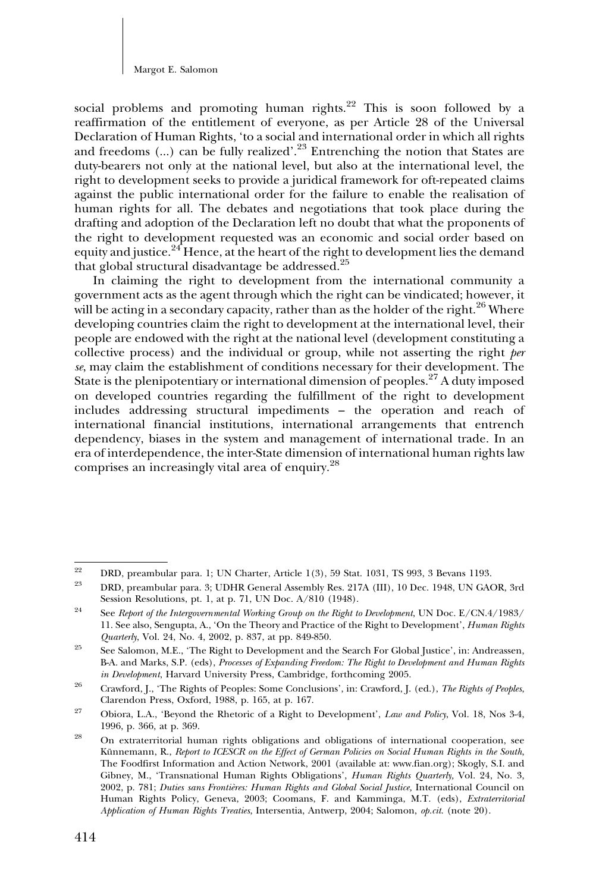social problems and promoting human rights.<sup>22</sup> This is soon followed by a reaffirmation of the entitlement of everyone, as per Article 28 of the Universal Declaration of Human Rights, 'to a social and international order in which all rights and freedoms  $(...)$  can be fully realized'.<sup>23</sup> Entrenching the notion that States are duty-bearers not only at the national level, but also at the international level, the right to development seeks to provide a juridical framework for oft-repeated claims against the public international order for the failure to enable the realisation of human rights for all. The debates and negotiations that took place during the drafting and adoption of the Declaration left no doubt that what the proponents of the right to development requested was an economic and social order based on equity and justice.<sup>24</sup> Hence, at the heart of the right to development lies the demand that global structural disadvantage be addressed.<sup>25</sup>

In claiming the right to development from the international community a government acts as the agent through which the right can be vindicated; however, it will be acting in a secondary capacity, rather than as the holder of the right. $^{26}$  Where developing countries claim the right to development at the international level, their people are endowed with the right at the national level (development constituting a collective process) and the individual or group, while not asserting the right  $per$ se, may claim the establishment of conditions necessary for their development. The State is the plenipotentiary or international dimension of peoples.<sup>27</sup> A duty imposed on developed countries regarding the fulfillment of the right to development includes addressing structural impediments – the operation and reach of international financial institutions, international arrangements that entrench dependency, biases in the system and management of international trade. In an era of interdependence, the inter-State dimension of international human rights law comprises an increasingly vital area of enquiry.<sup>28</sup>

<sup>&</sup>lt;sup>22</sup> DRD, preambular para. 1; UN Charter, Article 1(3), 59 Stat. 1031, TS 993, 3 Bevans 1193.<br><sup>23</sup> DRD, <sup>23</sup> DRD, <sup>24</sup> UNITE C. <sup>14</sup> U.P. <sup>2174</sup> (W), <sup>10</sup> D. <sup>1040</sup> UNICA<sup>4</sup>

<sup>23</sup> DRD, preambular para. 3; UDHR General Assembly Res. 217A (III), 10 Dec. 1948, UN GAOR, 3rd Session Resolutions, pt. 1, at p. 71, UN Doc. A/810 (1948).

<sup>&</sup>lt;sup>24</sup> See Report of the Intergovernmental Working Group on the Right to Development, UN Doc. E/CN.4/1983/ 11. See also, Sengupta, A., 'On the Theory and Practice of the Right to Development', Human Rights Quarterly, Vol. 24, No. 4, 2002, p. 837, at pp. 849-850.

<sup>&</sup>lt;sup>25</sup> See Salomon, M.E., 'The Right to Development and the Search For Global Justice', in: Andreassen, B-A. and Marks, S.P. (eds), Processes of Expanding Freedom: The Right to Development and Human Rights in Development, Harvard University Press, Cambridge, forthcoming 2005.

<sup>&</sup>lt;sup>26</sup> Crawford, J., 'The Rights of Peoples: Some Conclusions', in: Crawford, J. (ed.), The Rights of Peoples, Clarendon Press, Oxford, 1988, p. 165, at p. 167.

<sup>&</sup>lt;sup>27</sup> Obiora, L.A., 'Beyond the Rhetoric of a Right to Development', *Law and Policy*, Vol. 18, Nos 3-4, 1996, p. 366, at p. 369.

<sup>&</sup>lt;sup>28</sup> On extraterritorial human rights obligations and obligations of international cooperation, see Künnemann, R., Report to ICESCR on the Effect of German Policies on Social Human Rights in the South, The Foodfirst Information and Action Network, 2001 (available at: www.fian.org); Skogly, S.I. and Gibney, M., 'Transnational Human Rights Obligations', *Human Rights Quarterly*, Vol. 24, No. 3, 2002, p. 781; Duties sans Frontières: Human Rights and Global Social Justice, International Council on Human Rights Policy, Geneva, 2003; Coomans, F. and Kamminga, M.T. (eds), Extraterritorial Application of Human Rights Treaties, Intersentia, Antwerp, 2004; Salomon, op.cit. (note 20).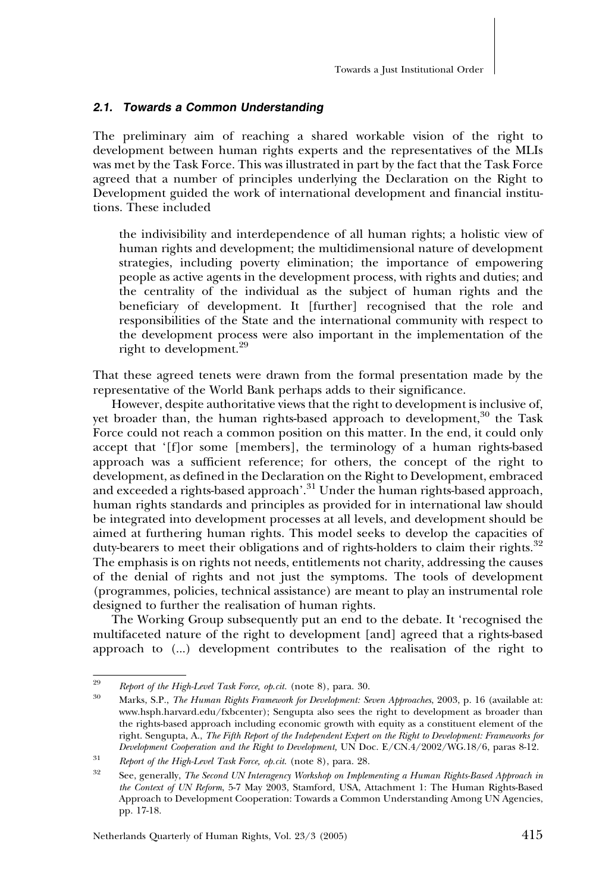#### 2.1. Towards <sup>a</sup> Common Understanding

The preliminary aim of reaching a shared workable vision of the right to development between human rights experts and the representatives of the MLIs was met by the Task Force. This was illustrated in part by the fact that the Task Force agreed that a number of principles underlying the Declaration on the Right to Development guided the work of international development and financial institutions. These included

the indivisibility and interdependence of all human rights; a holistic view of human rights and development; the multidimensional nature of development strategies, including poverty elimination; the importance of empowering people as active agents in the development process, with rights and duties; and the centrality of the individual as the subject of human rights and the beneficiary of development. It [further] recognised that the role and responsibilities of the State and the international community with respect to the development process were also important in the implementation of the right to development.<sup>29</sup>

That these agreed tenets were drawn from the formal presentation made by the representative of the World Bank perhaps adds to their significance.

However, despite authoritative views that the right to development is inclusive of, yet broader than, the human rights-based approach to development,<sup>30</sup> the Task Force could not reach a common position on this matter. In the end, it could only accept that '[f]or some [members], the terminology of a human rights-based approach was a sufficient reference; for others, the concept of the right to development, as defined in the Declaration on the Right to Development, embraced and exceeded a rights-based approach'.<sup>31</sup> Under the human rights-based approach, human rights standards and principles as provided for in international law should be integrated into development processes at all levels, and development should be aimed at furthering human rights. This model seeks to develop the capacities of duty-bearers to meet their obligations and of rights-holders to claim their rights.<sup>32</sup> The emphasis is on rights not needs, entitlements not charity, addressing the causes of the denial of rights and not just the symptoms. The tools of development (programmes, policies, technical assistance) are meant to play an instrumental role designed to further the realisation of human rights.

The Working Group subsequently put an end to the debate. It 'recognised the multifaceted nature of the right to development [and] agreed that a rights-based approach to (...) development contributes to the realisation of the right to

<sup>&</sup>lt;sup>29</sup> Report of the High-Level Task Force, op.cit. (note 8), para. 30.

<sup>&</sup>lt;sup>30</sup> Marks, S.P., The Human Rights Framework for Development: Seven Approaches, 2003, p. 16 (available at: www.hsph.harvard.edu/fxbcenter); Sengupta also sees the right to development as broader than the rights-based approach including economic growth with equity as a constituent element of the right. Sengupta, A., The Fifth Report of the Independent Expert on the Right to Development: Frameworks for Development Cooperation and the Right to Development, UN Doc. E/CN.4/2002/WG.18/6, paras 8-12.

<sup>&</sup>lt;sup>31</sup> Report of the High-Level Task Force, op.cit. (note 8), para. 28.

See, generally, The Second UN Interagency Workshop on Implementing a Human Rights-Based Approach in the Context of UN Reform, 5-7 May 2003, Stamford, USA, Attachment 1: The Human Rights-Based Approach to Development Cooperation: Towards a Common Understanding Among UN Agencies, pp. 17-18.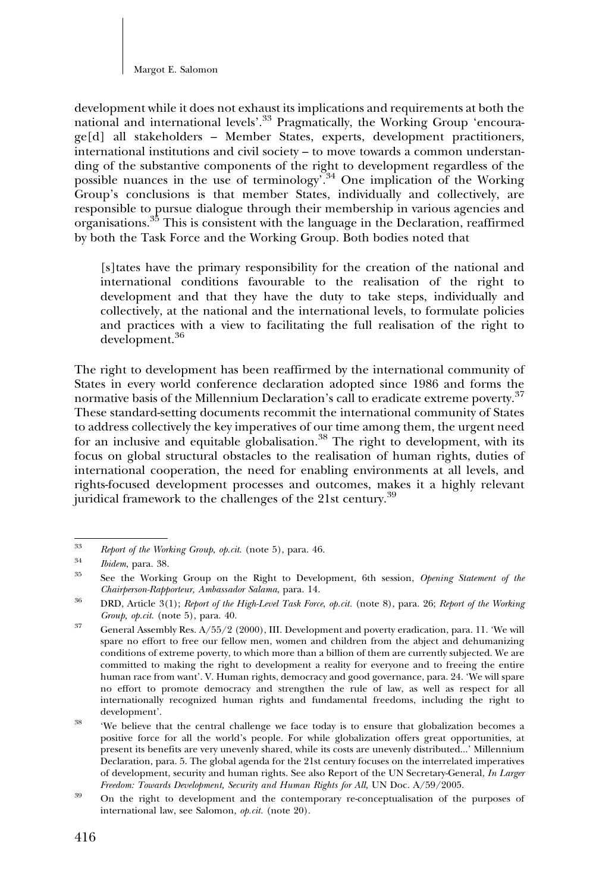development while it does not exhaust its implications and requirements at both the national and international levels'.<sup>33</sup> Pragmatically, the Working Group 'encourage[d] all stakeholders – Member States, experts, development practitioners, international institutions and civil society – to move towards a common understanding of the substantive components of the right to development regardless of the possible nuances in the use of terminology'.<sup>34</sup> One implication of the Working Group's conclusions is that member States, individually and collectively, are responsible to pursue dialogue through their membership in various agencies and organisations.<sup>35</sup> This is consistent with the language in the Declaration, reaffirmed by both the Task Force and the Working Group. Both bodies noted that

[s]tates have the primary responsibility for the creation of the national and international conditions favourable to the realisation of the right to development and that they have the duty to take steps, individually and collectively, at the national and the international levels, to formulate policies and practices with a view to facilitating the full realisation of the right to development.<sup>36</sup>

The right to development has been reaffirmed by the international community of States in every world conference declaration adopted since 1986 and forms the normative basis of the Millennium Declaration's call to eradicate extreme poverty.<sup>37</sup> These standard-setting documents recommit the international community of States to address collectively the key imperatives of our time among them, the urgent need for an inclusive and equitable globalisation.<sup>38</sup> The right to development, with its focus on global structural obstacles to the realisation of human rights, duties of international cooperation, the need for enabling environments at all levels, and rights-focused development processes and outcomes, makes it a highly relevant juridical framework to the challenges of the 21st century.<sup>39</sup>

<sup>&</sup>lt;sup>33</sup> Report of the Working Group, op.cit. (note 5), para. 46.<br><sup>34</sup>  $\frac{n+1}{n+1}$  <sup>90</sup>

 $34$  Ibidem, para. 38.

See the Working Group on the Right to Development, 6th session, Opening Statement of the Chairperson-Rapporteur, Ambassador Salama, para. 14.

<sup>36</sup> DRD, Article 3(1); Report of the High-Level Task Force, op.cit. (note 8), para. 26; Report of the Working Group, op.cit. (note 5), para. 40.

<sup>37</sup> General Assembly Res. A/55/2 (2000), III. Development and poverty eradication, para. 11. 'We will spare no effort to free our fellow men, women and children from the abject and dehumanizing conditions of extreme poverty, to which more than a billion of them are currently subjected. We are committed to making the right to development a reality for everyone and to freeing the entire human race from want'. V. Human rights, democracy and good governance, para. 24. 'We will spare no effort to promote democracy and strengthen the rule of law, as well as respect for all internationally recognized human rights and fundamental freedoms, including the right to development'.

<sup>&</sup>lt;sup>38</sup> 'We believe that the central challenge we face today is to ensure that globalization becomes a positive force for all the world's people. For while globalization offers great opportunities, at present its benefits are very unevenly shared, while its costs are unevenly distributed...' Millennium Declaration, para. 5. The global agenda for the 21st century focuses on the interrelated imperatives of development, security and human rights. See also Report of the UN Secretary-General, In Larger Freedom: Towards Development, Security and Human Rights for All, UN Doc. A/59/2005.

<sup>&</sup>lt;sup>39</sup> On the right to development and the contemporary re-conceptualisation of the purposes of international law, see Salomon, op.cit. (note 20).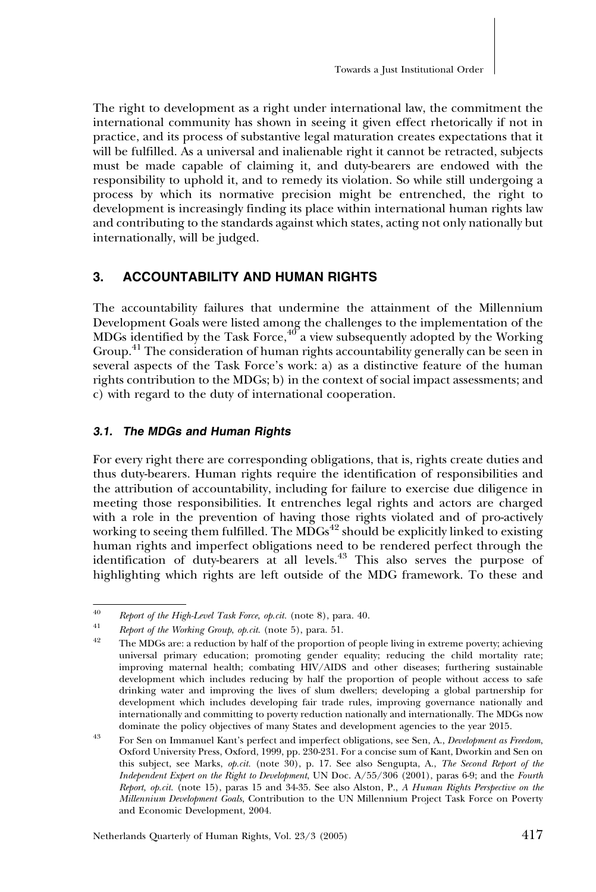The right to development as a right under international law, the commitment the international community has shown in seeing it given effect rhetorically if not in practice, and its process of substantive legal maturation creates expectations that it will be fulfilled. As a universal and inalienable right it cannot be retracted, subjects must be made capable of claiming it, and duty-bearers are endowed with the responsibility to uphold it, and to remedy its violation. So while still undergoing a process by which its normative precision might be entrenched, the right to development is increasingly finding its place within international human rights law and contributing to the standards against which states, acting not only nationally but internationally, will be judged.

# 3. ACCOUNTABILITY AND HUMAN RIGHTS

The accountability failures that undermine the attainment of the Millennium Development Goals were listed among the challenges to the implementation of the MDGs identified by the Task Force,  $40^{\circ}$  a view subsequently adopted by the Working Group.41 The consideration of human rights accountability generally can be seen in several aspects of the Task Force's work: a) as a distinctive feature of the human rights contribution to the MDGs; b) in the context of social impact assessments; and c) with regard to the duty of international cooperation.

# 3.1. The MDGs and Human Rights

For every right there are corresponding obligations, that is, rights create duties and thus duty-bearers. Human rights require the identification of responsibilities and the attribution of accountability, including for failure to exercise due diligence in meeting those responsibilities. It entrenches legal rights and actors are charged with a role in the prevention of having those rights violated and of pro-actively working to seeing them fulfilled. The  $\overline{MDSs}^{42}$  should be explicitly linked to existing human rights and imperfect obligations need to be rendered perfect through the identification of duty-bearers at all levels.43 This also serves the purpose of highlighting which rights are left outside of the MDG framework. To these and

<sup>&</sup>lt;sup>40</sup> Report of the High-Level Task Force, op.cit. (note 8), para. 40.

<sup>&</sup>lt;sup>41</sup> Report of the Working Group, op.cit. (note 5), para. 51.

The MDGs are: a reduction by half of the proportion of people living in extreme poverty; achieving universal primary education; promoting gender equality; reducing the child mortality rate; improving maternal health; combating HIV/AIDS and other diseases; furthering sustainable development which includes reducing by half the proportion of people without access to safe drinking water and improving the lives of slum dwellers; developing a global partnership for development which includes developing fair trade rules, improving governance nationally and internationally and committing to poverty reduction nationally and internationally. The MDGs now dominate the policy objectives of many States and development agencies to the year 2015.

<sup>43</sup> For Sen on Immanuel Kant's perfect and imperfect obligations, see Sen, A., Development as Freedom, Oxford University Press, Oxford, 1999, pp. 230-231. For a concise sum of Kant, Dworkin and Sen on this subject, see Marks, op.cit. (note 30), p. 17. See also Sengupta, A., The Second Report of the Independent Expert on the Right to Development, UN Doc. A/55/306 (2001), paras 6-9; and the Fourth Report, op.cit. (note 15), paras 15 and 34-35. See also Alston, P., A Human Rights Perspective on the Millennium Development Goals, Contribution to the UN Millennium Project Task Force on Poverty and Economic Development, 2004.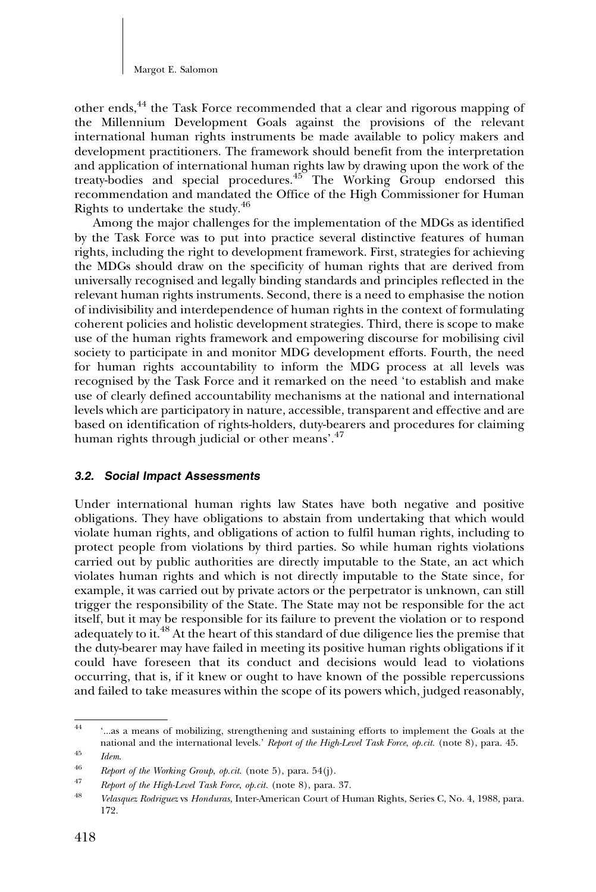other ends,<sup>44</sup> the Task Force recommended that a clear and rigorous mapping of the Millennium Development Goals against the provisions of the relevant international human rights instruments be made available to policy makers and development practitioners. The framework should benefit from the interpretation and application of international human rights law by drawing upon the work of the treaty-bodies and special procedures.<sup>45</sup> The Working  $G_{1}$  endorsed this recommendation and mandated the Office of the High Commissioner for Human Rights to undertake the study. $46$ 

Among the major challenges for the implementation of the MDGs as identified by the Task Force was to put into practice several distinctive features of human rights, including the right to development framework. First, strategies for achieving the MDGs should draw on the specificity of human rights that are derived from universally recognised and legally binding standards and principles reflected in the relevant human rights instruments. Second, there is a need to emphasise the notion of indivisibility and interdependence of human rights in the context of formulating coherent policies and holistic development strategies. Third, there is scope to make use of the human rights framework and empowering discourse for mobilising civil society to participate in and monitor MDG development efforts. Fourth, the need for human rights accountability to inform the MDG process at all levels was recognised by the Task Force and it remarked on the need 'to establish and make use of clearly defined accountability mechanisms at the national and international levels which are participatory in nature, accessible, transparent and effective and are based on identification of rights-holders, duty-bearers and procedures for claiming human rights through judicial or other means'.<sup>47</sup>

#### 3.2. Social Impact Assessments

Under international human rights law States have both negative and positive obligations. They have obligations to abstain from undertaking that which would violate human rights, and obligations of action to fulfil human rights, including to protect people from violations by third parties. So while human rights violations carried out by public authorities are directly imputable to the State, an act which violates human rights and which is not directly imputable to the State since, for example, it was carried out by private actors or the perpetrator is unknown, can still trigger the responsibility of the State. The State may not be responsible for the act itself, but it may be responsible for its failure to prevent the violation or to respond adequately to it.<sup>48</sup> At the heart of this standard of due diligence lies the premise that the duty-bearer may have failed in meeting its positive human rights obligations if it could have foreseen that its conduct and decisions would lead to violations occurring, that is, if it knew or ought to have known of the possible repercussions and failed to take measures within the scope of its powers which, judged reasonably,

<sup>44</sup> '...as a means of mobilizing, strengthening and sustaining efforts to implement the Goals at the national and the international levels.' Report of the High-Level Task Force, op.cit. (note 8), para. 45.

 $\frac{45}{46}$  *Idem.* 

<sup>&</sup>lt;sup>46</sup> Report of the Working Group, op.cit. (note 5), para. 54(j).<br><sup>47</sup> Petert of the High Land Teah Equatorial (note 8), para.

<sup>&</sup>lt;sup>47</sup> Report of the High-Level Task Force, op.cit. (note 8), para. 37.

Velasquez Rodriguez vs Honduras, Inter-American Court of Human Rights, Series C, No. 4, 1988, para. 172.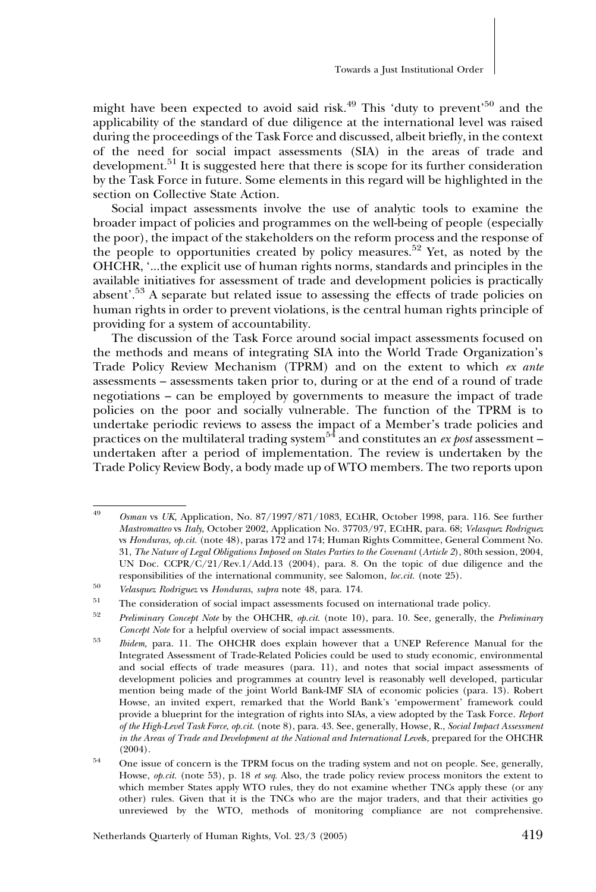might have been expected to avoid said risk.<sup>49</sup> This 'duty to prevent'<sup>50</sup> and the applicability of the standard of due diligence at the international level was raised during the proceedings of the Task Force and discussed, albeit briefly, in the context of the need for social impact assessments (SIA) in the areas of trade and development.<sup>51</sup> It is suggested here that there is scope for its further consideration by the Task Force in future. Some elements in this regard will be highlighted in the section on Collective State Action.

Social impact assessments involve the use of analytic tools to examine the broader impact of policies and programmes on the well-being of people (especially the poor), the impact of the stakeholders on the reform process and the response of the people to opportunities created by policy measures.<sup>52</sup> Yet, as noted by the OHCHR, '...the explicit use of human rights norms, standards and principles in the available initiatives for assessment of trade and development policies is practically absent'.<sup>53</sup> A separate but related issue to assessing the effects of trade policies on human rights in order to prevent violations, is the central human rights principle of providing for a system of accountability.

The discussion of the Task Force around social impact assessments focused on the methods and means of integrating SIA into the World Trade Organization's Trade Policy Review Mechanism (TPRM) and on the extent to which ex ante assessments – assessments taken prior to, during or at the end of a round of trade negotiations – can be employed by governments to measure the impact of trade policies on the poor and socially vulnerable. The function of the TPRM is to undertake periodic reviews to assess the impact of a Member's trade policies and practices on the multilateral trading system<sup>54</sup> and constitutes an *ex post* assessment – undertaken after a period of implementation. The review is undertaken by the Trade Policy Review Body, a body made up of WTO members. The two reports upon

<sup>49</sup> Osman vs UK, Application, No. 87/1997/871/1083, ECtHR, October 1998, para. 116. See further Mastromatteo vs Italy, October 2002, Application No. 37703/97, ECtHR, para. 68; Velasquez Rodriguez vs Honduras, op.cit. (note 48), paras 172 and 174; Human Rights Committee, General Comment No. 31, The Nature of Legal Obligations Imposed on States Parties to the Covenant (Article 2), 80th session, 2004, UN Doc. CCPR/C/21/Rev.1/Add.13 (2004), para. 8. On the topic of due diligence and the responsibilities of the international community, see Salomon, loc.cit. (note 25).

<sup>50</sup> Velasquez Rodriguez vs Honduras, supra note 48, para. 174.

The consideration of social impact assessments focused on international trade policy.

 $52$  Preliminary Concept Note by the OHCHR, op.cit. (note 10), para. 10. See, generally, the Preliminary Concept Note for a helpful overview of social impact assessments.

<sup>&</sup>lt;sup>53</sup> *Ibidem*, para. 11. The OHCHR does explain however that a UNEP Reference Manual for the Integrated Assessment of Trade-Related Policies could be used to study economic, environmental and social effects of trade measures (para. 11), and notes that social impact assessments of development policies and programmes at country level is reasonably well developed, particular mention being made of the joint World Bank-IMF SIA of economic policies (para. 13). Robert Howse, an invited expert, remarked that the World Bank's 'empowerment' framework could provide a blueprint for the integration of rights into SIAs, a view adopted by the Task Force. Report of the High-Level Task Force, op.cit. (note 8), para. 43. See, generally, Howse, R., Social Impact Assessment in the Areas of Trade and Development at the National and International Levels, prepared for the OHCHR  $(9004)$ 

<sup>&</sup>lt;sup>54</sup> One issue of concern is the TPRM focus on the trading system and not on people. See, generally, Howse, *op.cit.* (note 53), p. 18 *et seq.* Also, the trade policy review process monitors the extent to which member States apply WTO rules, they do not examine whether TNCs apply these (or any other) rules. Given that it is the TNCs who are the major traders, and that their activities go unreviewed by the WTO, methods of monitoring compliance are not comprehensive.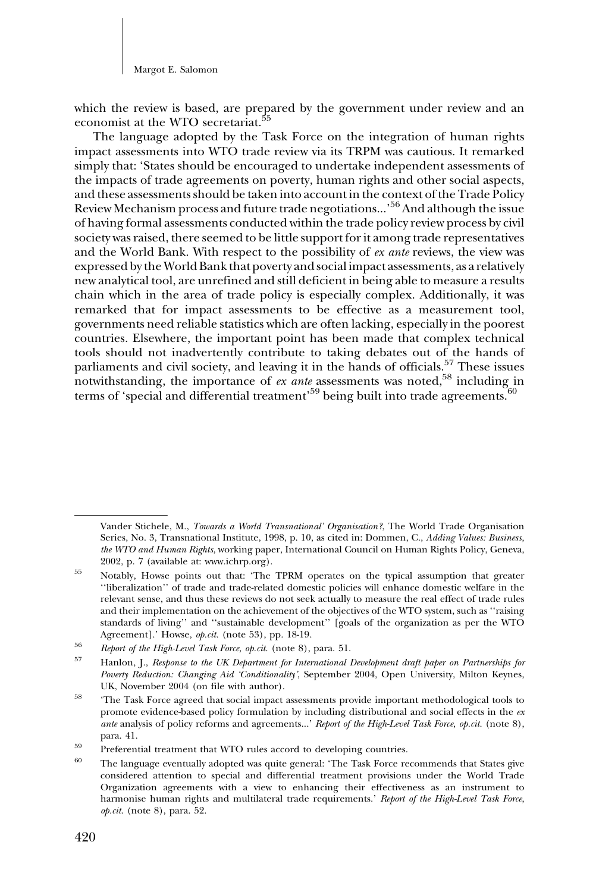which the review is based, are prepared by the government under review and an economist at the WTO secretariat.<sup>55</sup>

The language adopted by the Task Force on the integration of human rights impact assessments into WTO trade review via its TRPM was cautious. It remarked simply that: 'States should be encouraged to undertake independent assessments of the impacts of trade agreements on poverty, human rights and other social aspects, and these assessments should be taken into account in the context of the Trade Policy Review Mechanism process and future trade negotiations...<sup>56</sup> And although the issue of having formal assessments conducted within the trade policy review process by civil society was raised, there seemed to be little support for it among trade representatives and the World Bank. With respect to the possibility of  $ex$  ante reviews, the view was expressed by the World Bank that poverty and social impact assessments, as a relatively new analytical tool, are unrefined and still deficient in being able to measure a results chain which in the area of trade policy is especially complex. Additionally, it was remarked that for impact assessments to be effective as a measurement tool, governments need reliable statistics which are often lacking, especially in the poorest countries. Elsewhere, the important point has been made that complex technical tools should not inadvertently contribute to taking debates out of the hands of parliaments and civil society, and leaving it in the hands of officials.<sup>57</sup> These issues notwithstanding, the importance of  $ex$  ante assessments was noted,<sup>58</sup> including in terms of 'special and differential treatment'<sup>59</sup> being built into trade agreements.<sup>60</sup>

Vander Stichele, M., Towards a World Transnational' Organisation?, The World Trade Organisation Series, No. 3, Transnational Institute, 1998, p. 10, as cited in: Dommen, C., Adding Values: Business, the WTO and Human Rights, working paper, International Council on Human Rights Policy, Geneva, 2002, p. 7 (available at: www.ichrp.org).

<sup>&</sup>lt;sup>55</sup> Notably, Howse points out that: 'The TPRM operates on the typical assumption that greater ''liberalization'' of trade and trade-related domestic policies will enhance domestic welfare in the relevant sense, and thus these reviews do not seek actually to measure the real effect of trade rules and their implementation on the achievement of the objectives of the WTO system, such as ''raising standards of living'' and ''sustainable development'' [goals of the organization as per the WTO Agreement].' Howse, op.cit. (note 53), pp. 18-19.

<sup>56</sup> Report of the High-Level Task Force, op.cit. (note 8), para. 51.

<sup>57</sup> Hanlon, J., Response to the UK Department for International Development draft paper on Partnerships for Poverty Reduction: Changing Aid 'Conditionality', September 2004, Open University, Milton Keynes, UK, November 2004 (on file with author).

<sup>&</sup>lt;sup>58</sup> 'The Task Force agreed that social impact assessments provide important methodological tools to promote evidence-based policy formulation by including distributional and social effects in the ex ante analysis of policy reforms and agreements...' Report of the High-Level Task Force, op.cit. (note 8), para. 41.

 $^{59}$  Preferential treatment that WTO rules accord to developing countries.

The language eventually adopted was quite general: 'The Task Force recommends that States give considered attention to special and differential treatment provisions under the World Trade Organization agreements with a view to enhancing their effectiveness as an instrument to harmonise human rights and multilateral trade requirements.' Report of the High-Level Task Force, op.cit. (note 8), para. 52.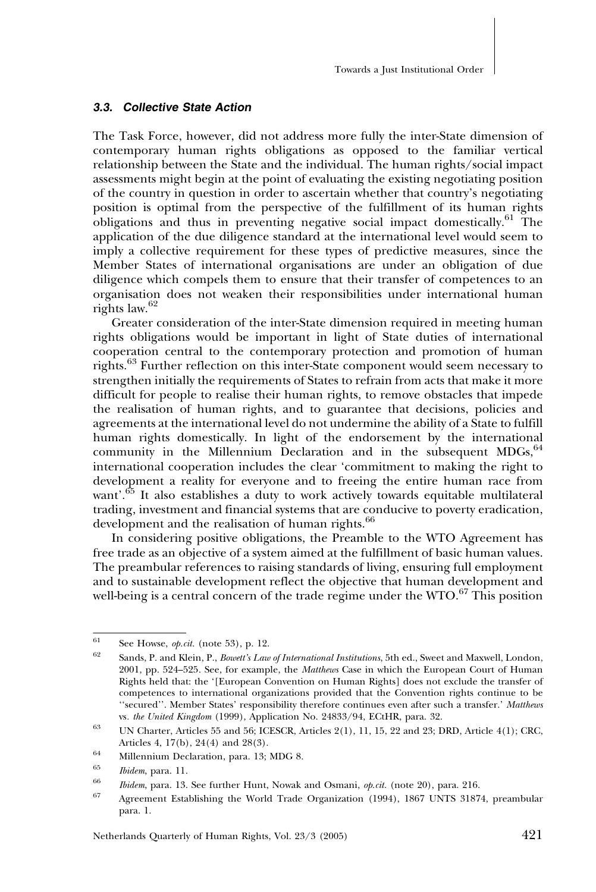## 3.3. Collective State Action

The Task Force, however, did not address more fully the inter-State dimension of contemporary human rights obligations as opposed to the familiar vertical relationship between the State and the individual. The human rights/social impact assessments might begin at the point of evaluating the existing negotiating position of the country in question in order to ascertain whether that country's negotiating position is optimal from the perspective of the fulfillment of its human rights obligations and thus in preventing negative social impact domestically.<sup>61</sup> The application of the due diligence standard at the international level would seem to imply a collective requirement for these types of predictive measures, since the Member States of international organisations are under an obligation of due diligence which compels them to ensure that their transfer of competences to an organisation does not weaken their responsibilities under international human rights law.<sup>62</sup>

Greater consideration of the inter-State dimension required in meeting human rights obligations would be important in light of State duties of international cooperation central to the contemporary protection and promotion of human rights.<sup>63</sup> Further reflection on this inter-State component would seem necessary to strengthen initially the requirements of States to refrain from acts that make it more difficult for people to realise their human rights, to remove obstacles that impede the realisation of human rights, and to guarantee that decisions, policies and agreements at the international level do not undermine the ability of a State to fulfill human rights domestically. In light of the endorsement by the international community in the Millennium Declaration and in the subsequent  $MDGs$ ,  $64$ international cooperation includes the clear 'commitment to making the right to development a reality for everyone and to freeing the entire human race from want'.<sup>65</sup> It also establishes a duty to work actively towards equitable multilateral trading, investment and financial systems that are conducive to poverty eradication, development and the realisation of human rights.<sup>66</sup>

In considering positive obligations, the Preamble to the WTO Agreement has free trade as an objective of a system aimed at the fulfillment of basic human values. The preambular references to raising standards of living, ensuring full employment and to sustainable development reflect the objective that human development and well-being is a central concern of the trade regime under the  $WTO<sup>67</sup>$  This position

<sup>&</sup>lt;sup>61</sup> See Howse, *op.cit.* (note 53), p. 12.

Sands, P. and Klein, P., Bowett's Law of International Institutions, 5th ed., Sweet and Maxwell, London, 2001, pp. 524–525. See, for example, the Matthews Case in which the European Court of Human Rights held that: the '[European Convention on Human Rights] does not exclude the transfer of competences to international organizations provided that the Convention rights continue to be ''secured''. Member States' responsibility therefore continues even after such a transfer.' Matthews vs. the United Kingdom (1999), Application No. 24833/94, ECtHR, para. 32.

 $63$  UN Charter, Articles 55 and 56; ICESCR, Articles 2(1), 11, 15, 22 and 23; DRD, Article 4(1); CRC, Articles 4, 17(b), 24(4) and 28(3).

 $64$  Millennium Declaration, para. 13; MDG 8.<br> $65$   $B/\text{J}$  are 11

 $\frac{65}{66}$  *Ibidem*, para. 11.

<sup>&</sup>lt;sup>66</sup> *Ibidem*, para. 13. See further Hunt, Nowak and Osmani, *op.cit.* (note 20), para. 216.<br><sup>67</sup>

<sup>67</sup> Agreement Establishing the World Trade Organization (1994), 1867 UNTS 31874, preambular para. 1.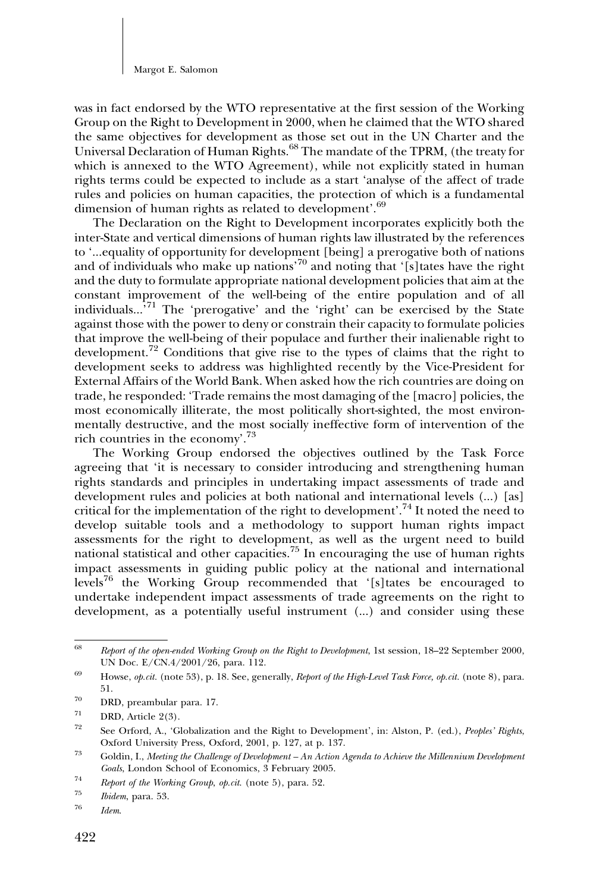was in fact endorsed by the WTO representative at the first session of the Working Group on the Right to Development in 2000, when he claimed that the WTO shared the same objectives for development as those set out in the UN Charter and the Universal Declaration of Human Rights.<sup>68</sup> The mandate of the TPRM, (the treaty for which is annexed to the WTO Agreement), while not explicitly stated in human rights terms could be expected to include as a start 'analyse of the affect of trade rules and policies on human capacities, the protection of which is a fundamental dimension of human rights as related to development'.<sup>69</sup>

The Declaration on the Right to Development incorporates explicitly both the inter-State and vertical dimensions of human rights law illustrated by the references to '...equality of opportunity for development [being] a prerogative both of nations and of individuals who make up nations<sup>70</sup> and noting that '[s] tates have the right and the duty to formulate appropriate national development policies that aim at the constant improvement of the well-being of the entire population and of all individuals...'<sup>71</sup> The 'prerogative' and the 'right' can be exercised by the State against those with the power to deny or constrain their capacity to formulate policies that improve the well-being of their populace and further their inalienable right to development.<sup>72</sup> Conditions that give rise to the types of claims that the right to development seeks to address was highlighted recently by the Vice-President for External Affairs of the World Bank. When asked how the rich countries are doing on trade, he responded: 'Trade remains the most damaging of the [macro] policies, the most economically illiterate, the most politically short-sighted, the most environmentally destructive, and the most socially ineffective form of intervention of the rich countries in the economy'.<sup>73</sup>

The Working Group endorsed the objectives outlined by the Task Force agreeing that 'it is necessary to consider introducing and strengthening human rights standards and principles in undertaking impact assessments of trade and development rules and policies at both national and international levels (...) [as] critical for the implementation of the right to development'.<sup>74</sup> It noted the need to develop suitable tools and a methodology to support human rights impact assessments for the right to development, as well as the urgent need to build national statistical and other capacities.<sup>75</sup> In encouraging the use of human rights impact assessments in guiding public policy at the national and international levels<sup>76</sup> the Working Group recommended that '[s]tates be encouraged to undertake independent impact assessments of trade agreements on the right to development, as a potentially useful instrument (...) and consider using these

<sup>68</sup> Report of the open-ended Working Group on the Right to Development, 1st session, 18–22 September 2000, UN Doc. E/CN.4/2001/26, para. 112.

<sup>&</sup>lt;sup>69</sup> Howse, *op.cit.* (note 53), p. 18. See, generally, *Report of the High-Level Task Force, op.cit.* (note 8), para. 51.

 $^{70}$  DRD, preambular para. 17.<br> $^{71}$  DRD, Article 9(2)

DRD, Article 2(3).

<sup>72</sup> See Orford, A., 'Globalization and the Right to Development', in: Alston, P. (ed.), Peoples' Rights, Oxford University Press, Oxford, 2001, p. 127, at p. 137.

<sup>73</sup> Goldin, I., Meeting the Challenge of Development – An Action Agenda to Achieve the Millennium Development Goals, London School of Economics, 3 February 2005.

 $\frac{74}{75}$  Report of the Working Group, op.cit. (note 5), para. 52.

 $\frac{75}{76}$  *Ibidem*, para. 53.

Idem.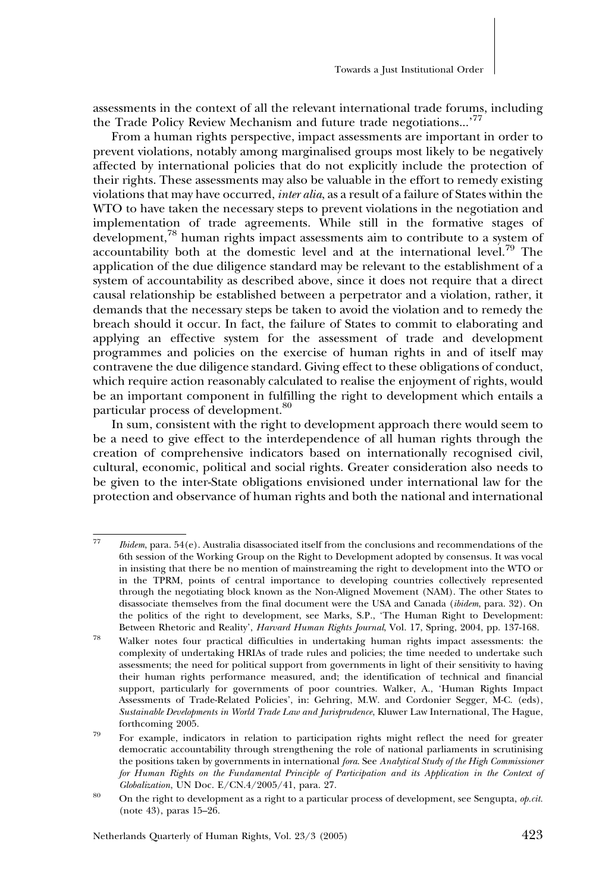assessments in the context of all the relevant international trade forums, including the Trade Policy Review Mechanism and future trade negotiations...'<sup>77</sup>

From a human rights perspective, impact assessments are important in order to prevent violations, notably among marginalised groups most likely to be negatively affected by international policies that do not explicitly include the protection of their rights. These assessments may also be valuable in the effort to remedy existing violations that may have occurred, inter alia, as a result of a failure of States within the WTO to have taken the necessary steps to prevent violations in the negotiation and implementation of trade agreements. While still in the formative stages of development,<sup>78</sup> human rights impact assessments aim to contribute to a system of accountability both at the domestic level and at the international level.79 The application of the due diligence standard may be relevant to the establishment of a system of accountability as described above, since it does not require that a direct causal relationship be established between a perpetrator and a violation, rather, it demands that the necessary steps be taken to avoid the violation and to remedy the breach should it occur. In fact, the failure of States to commit to elaborating and applying an effective system for the assessment of trade and development programmes and policies on the exercise of human rights in and of itself may contravene the due diligence standard. Giving effect to these obligations of conduct, which require action reasonably calculated to realise the enjoyment of rights, would be an important component in fulfilling the right to development which entails a particular process of development.80

In sum, consistent with the right to development approach there would seem to be a need to give effect to the interdependence of all human rights through the creation of comprehensive indicators based on internationally recognised civil, cultural, economic, political and social rights. Greater consideration also needs to be given to the inter-State obligations envisioned under international law for the protection and observance of human rights and both the national and international

 $77$  Ibidem, para. 54(e). Australia disassociated itself from the conclusions and recommendations of the 6th session of the Working Group on the Right to Development adopted by consensus. It was vocal in insisting that there be no mention of mainstreaming the right to development into the WTO or in the TPRM, points of central importance to developing countries collectively represented through the negotiating block known as the Non-Aligned Movement (NAM). The other States to disassociate themselves from the final document were the USA and Canada (ibidem, para. 32). On the politics of the right to development, see Marks, S.P., 'The Human Right to Development: Between Rhetoric and Reality', Harvard Human Rights Journal, Vol. 17, Spring, 2004, pp. 137-168.

<sup>78</sup> Walker notes four practical difficulties in undertaking human rights impact assessments: the complexity of undertaking HRIAs of trade rules and policies; the time needed to undertake such assessments; the need for political support from governments in light of their sensitivity to having their human rights performance measured, and; the identification of technical and financial support, particularly for governments of poor countries. Walker, A., 'Human Rights Impact Assessments of Trade-Related Policies', in: Gehring, M.W. and Cordonier Segger, M-C. (eds), Sustainable Developments in World Trade Law and Jurisprudence, Kluwer Law International, The Hague, forthcoming 2005.

<sup>&</sup>lt;sup>79</sup> For example, indicators in relation to participation rights might reflect the need for greater democratic accountability through strengthening the role of national parliaments in scrutinising the positions taken by governments in international fora. See Analytical Study of the High Commissioner for Human Rights on the Fundamental Principle of Participation and its Application in the Context of Globalization, UN Doc. E/CN.4/2005/41, para. 27.

<sup>&</sup>lt;sup>80</sup> On the right to development as a right to a particular process of development, see Sengupta, *op.cit.* (note 43), paras 15–26.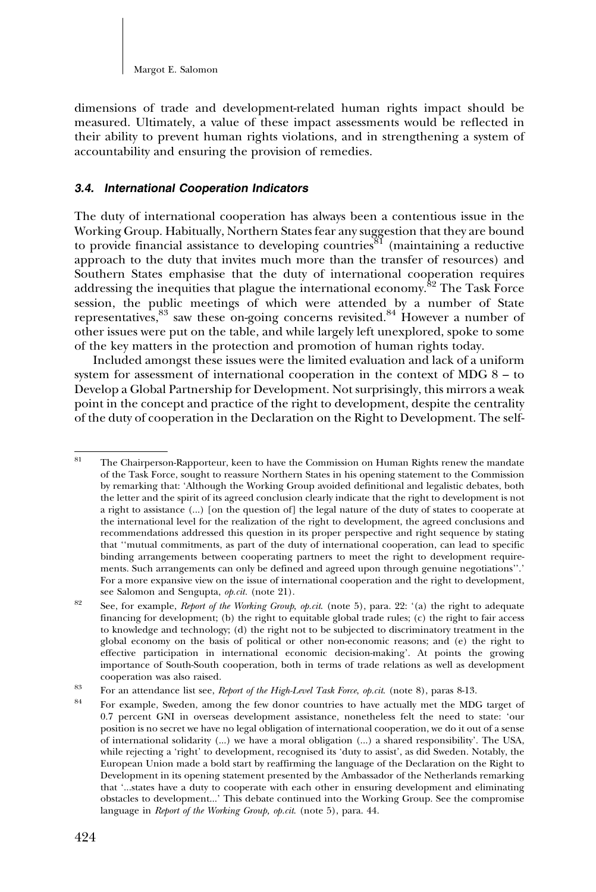dimensions of trade and development-related human rights impact should be measured. Ultimately, a value of these impact assessments would be reflected in their ability to prevent human rights violations, and in strengthening a system of accountability and ensuring the provision of remedies.

## 3.4. International Cooperation Indicators

The duty of international cooperation has always been a contentious issue in the Working Group. Habitually, Northern States fear any suggestion that they are bound to provide financial assistance to developing countries<sup>81</sup> (maintaining a reductive approach to the duty that invites much more than the transfer of resources) and Southern States emphasise that the duty of international cooperation requires addressing the inequities that plague the international economy.<sup>82</sup> The Task Force session, the public meetings of which were attended by a number of State representatives,<sup>83</sup> saw these on-going concerns revisited.<sup>84</sup> However a number of other issues were put on the table, and while largely left unexplored, spoke to some of the key matters in the protection and promotion of human rights today.

Included amongst these issues were the limited evaluation and lack of a uniform system for assessment of international cooperation in the context of MDG 8 – to Develop a Global Partnership for Development. Not surprisingly, this mirrors a weak point in the concept and practice of the right to development, despite the centrality of the duty of cooperation in the Declaration on the Right to Development. The self-

<sup>&</sup>lt;sup>81</sup> The Chairperson-Rapporteur, keen to have the Commission on Human Rights renew the mandate of the Task Force, sought to reassure Northern States in his opening statement to the Commission by remarking that: 'Although the Working Group avoided definitional and legalistic debates, both the letter and the spirit of its agreed conclusion clearly indicate that the right to development is not a right to assistance (...) [on the question of] the legal nature of the duty of states to cooperate at the international level for the realization of the right to development, the agreed conclusions and recommendations addressed this question in its proper perspective and right sequence by stating that ''mutual commitments, as part of the duty of international cooperation, can lead to specific binding arrangements between cooperating partners to meet the right to development requirements. Such arrangements can only be defined and agreed upon through genuine negotiations''.' For a more expansive view on the issue of international cooperation and the right to development, see Salomon and Sengupta, op.cit. (note 21).

<sup>&</sup>lt;sup>82</sup> See, for example, *Report of the Working Group, op.cit.* (note 5), para. 22: '(a) the right to adequate financing for development; (b) the right to equitable global trade rules; (c) the right to fair access to knowledge and technology; (d) the right not to be subjected to discriminatory treatment in the global economy on the basis of political or other non-economic reasons; and (e) the right to effective participation in international economic decision-making'. At points the growing importance of South-South cooperation, both in terms of trade relations as well as development cooperation was also raised.

<sup>83</sup> For an attendance list see, Report of the High-Level Task Force, op.cit. (note 8), paras 8-13.

<sup>84</sup> For example, Sweden, among the few donor countries to have actually met the MDG target of 0.7 percent GNI in overseas development assistance, nonetheless felt the need to state: 'our position is no secret we have no legal obligation of international cooperation, we do it out of a sense of international solidarity (...) we have a moral obligation (...) a shared responsibility'. The USA, while rejecting a 'right' to development, recognised its 'duty to assist', as did Sweden. Notably, the European Union made a bold start by reaffirming the language of the Declaration on the Right to Development in its opening statement presented by the Ambassador of the Netherlands remarking that '...states have a duty to cooperate with each other in ensuring development and eliminating obstacles to development...' This debate continued into the Working Group. See the compromise language in Report of the Working Group, op.cit. (note 5), para. 44.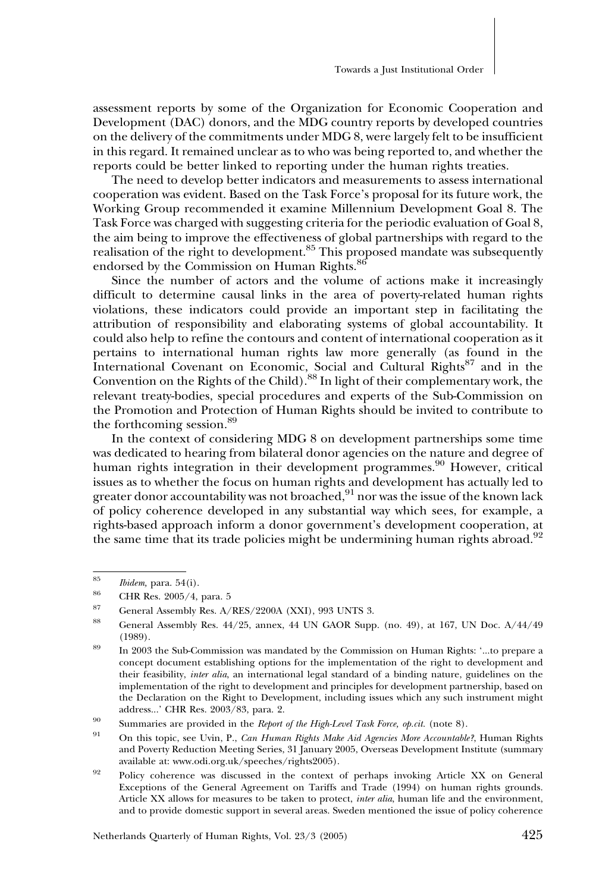assessment reports by some of the Organization for Economic Cooperation and Development (DAC) donors, and the MDG country reports by developed countries on the delivery of the commitments under MDG 8, were largely felt to be insufficient in this regard. It remained unclear as to who was being reported to, and whether the reports could be better linked to reporting under the human rights treaties.

The need to develop better indicators and measurements to assess international cooperation was evident. Based on the Task Force's proposal for its future work, the Working Group recommended it examine Millennium Development Goal 8. The Task Force was charged with suggesting criteria for the periodic evaluation of Goal 8, the aim being to improve the effectiveness of global partnerships with regard to the realisation of the right to development.<sup>85</sup> This proposed mandate was subsequently endorsed by the Commission on Human Rights.<sup>86</sup>

Since the number of actors and the volume of actions make it increasingly difficult to determine causal links in the area of poverty-related human rights violations, these indicators could provide an important step in facilitating the attribution of responsibility and elaborating systems of global accountability. It could also help to refine the contours and content of international cooperation as it pertains to international human rights law more generally (as found in the International Covenant on Economic, Social and Cultural Rights<sup>87</sup> and in the Convention on the Rights of the Child).<sup>88</sup> In light of their complementary work, the relevant treaty-bodies, special procedures and experts of the Sub-Commission on the Promotion and Protection of Human Rights should be invited to contribute to the forthcoming session.<sup>89</sup>

In the context of considering MDG 8 on development partnerships some time was dedicated to hearing from bilateral donor agencies on the nature and degree of human rights integration in their development programmes.<sup>90</sup> However, critical issues as to whether the focus on human rights and development has actually led to greater donor accountability was not broached,  $91$  nor was the issue of the known lack of policy coherence developed in any substantial way which sees, for example, a rights-based approach inform a donor government's development cooperation, at the same time that its trade policies might be undermining human rights abroad.<sup>92</sup>

 $^{85}$  Ibidem, para. 54(i).

<sup>86</sup> CHR Res. 2005/4, para. 5

<sup>87</sup> General Assembly Res.  $A/RES/2200A$  (XXI), 993 UNTS 3.

<sup>88</sup> General Assembly Res. 44/25, annex, 44 UN GAOR Supp. (no. 49), at 167, UN Doc. A/44/49 (1989).

<sup>89</sup> In 2003 the Sub-Commission was mandated by the Commission on Human Rights: '...to prepare a concept document establishing options for the implementation of the right to development and their feasibility, inter alia, an international legal standard of a binding nature, guidelines on the implementation of the right to development and principles for development partnership, based on the Declaration on the Right to Development, including issues which any such instrument might address...' CHR Res. 2003/83, para. 2.

<sup>&</sup>lt;sup>90</sup> Summaries are provided in the *Report of the High-Level Task Force, op.cit.* (note 8).

On this topic, see Uvin, P., Can Human Rights Make Aid Agencies More Accountable?, Human Rights and Poverty Reduction Meeting Series, 31 January 2005, Overseas Development Institute (summary available at: www.odi.org.uk/speeches/rights2005).

<sup>&</sup>lt;sup>92</sup> Policy coherence was discussed in the context of perhaps invoking Article XX on General Exceptions of the General Agreement on Tariffs and Trade (1994) on human rights grounds. Article XX allows for measures to be taken to protect, *inter alia*, human life and the environment, and to provide domestic support in several areas. Sweden mentioned the issue of policy coherence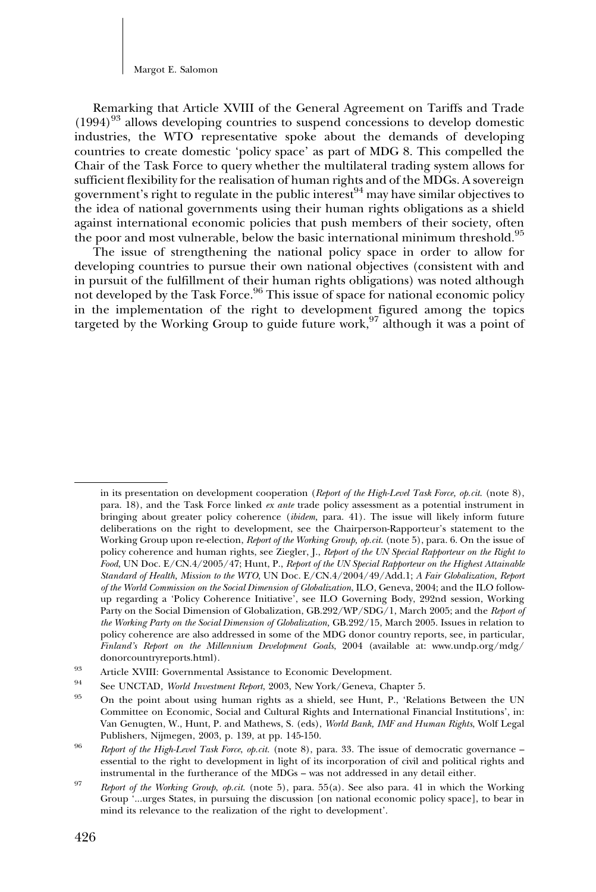Remarking that Article XVIII of the General Agreement on Tariffs and Trade  $(1994)^{93}$  allows developing countries to suspend concessions to develop domestic industries, the WTO representative spoke about the demands of developing countries to create domestic 'policy space' as part of MDG 8. This compelled the Chair of the Task Force to query whether the multilateral trading system allows for sufficient flexibility for the realisation of human rights and of the MDGs. A sovereign government's right to regulate in the public interest $94$  may have similar objectives to the idea of national governments using their human rights obligations as a shield against international economic policies that push members of their society, often the poor and most vulnerable, below the basic international minimum threshold.<sup>95</sup>

The issue of strengthening the national policy space in order to allow for developing countries to pursue their own national objectives (consistent with and in pursuit of the fulfillment of their human rights obligations) was noted although not developed by the Task Force.<sup>96</sup> This issue of space for national economic policy in the implementation of the right to development figured among the topics targeted by the Working Group to guide future work,  $\frac{97}{97}$  although it was a point of

in its presentation on development cooperation (Report of the High-Level Task Force, op.cit. (note 8), para. 18), and the Task Force linked ex ante trade policy assessment as a potential instrument in bringing about greater policy coherence (*ibidem*, para. 41). The issue will likely inform future deliberations on the right to development, see the Chairperson-Rapporteur's statement to the Working Group upon re-election, Report of the Working Group, op.cit. (note 5), para. 6. On the issue of policy coherence and human rights, see Ziegler, J., Report of the UN Special Rapporteur on the Right to Food, UN Doc. E/CN.4/2005/47; Hunt, P., Report of the UN Special Rapporteur on the Highest Attainable Standard of Health, Mission to the WTO, UN Doc. E/CN.4/2004/49/Add.1; A Fair Globalization, Report of the World Commission on the Social Dimension of Globalization, ILO, Geneva, 2004; and the ILO followup regarding a 'Policy Coherence Initiative', see ILO Governing Body, 292nd session, Working Party on the Social Dimension of Globalization, GB.292/WP/SDG/1, March 2005; and the Report of the Working Party on the Social Dimension of Globalization, GB.292/15, March 2005. Issues in relation to policy coherence are also addressed in some of the MDG donor country reports, see, in particular, Finland's Report on the Millennium Development Goals, 2004 (available at: www.undp.org/mdg/ donorcountryreports.html).

<sup>&</sup>lt;sup>93</sup> Article XVIII: Governmental Assistance to Economic Development.

See UNCTAD, World Investment Report, 2003, New York/Geneva, Chapter 5.

<sup>&</sup>lt;sup>95</sup> On the point about using human rights as a shield, see Hunt, P., 'Relations Between the UN Committee on Economic, Social and Cultural Rights and International Financial Institutions', in: Van Genugten, W., Hunt, P. and Mathews, S. (eds), World Bank, IMF and Human Rights, Wolf Legal Publishers, Nijmegen, 2003, p. 139, at pp. 145-150.

<sup>&</sup>lt;sup>96</sup> Report of the High-Level Task Force, op.cit. (note 8), para. 33. The issue of democratic governance – essential to the right to development in light of its incorporation of civil and political rights and instrumental in the furtherance of the MDGs – was not addressed in any detail either.

<sup>&</sup>lt;sup>97</sup> Report of the Working Group, op.cit. (note 5), para. 55(a). See also para. 41 in which the Working Group '...urges States, in pursuing the discussion [on national economic policy space], to bear in mind its relevance to the realization of the right to development'.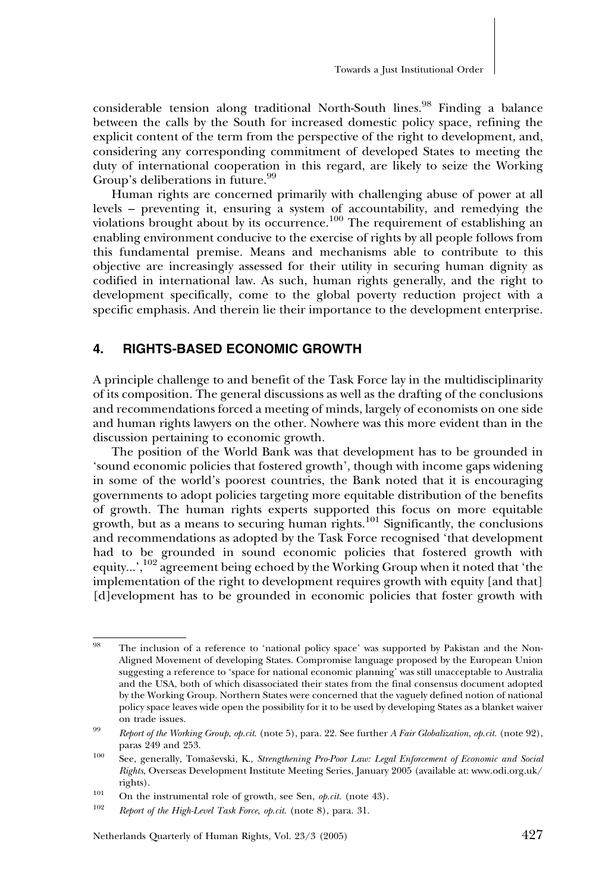considerable tension along traditional North-South lines.<sup>98</sup> Finding a balance between the calls by the South for increased domestic policy space, refining the explicit content of the term from the perspective of the right to development, and, considering any corresponding commitment of developed States to meeting the duty of international cooperation in this regard, are likely to seize the Working Group's deliberations in future.<sup>99</sup>

Human rights are concerned primarily with challenging abuse of power at all levels – preventing it, ensuring a system of accountability, and remedying the violations brought about by its occurrence.<sup>100</sup> The requirement of establishing an enabling environment conducive to the exercise of rights by all people follows from this fundamental premise. Means and mechanisms able to contribute to this objective are increasingly assessed for their utility in securing human dignity as codified in international law. As such, human rights generally, and the right to development specifically, come to the global poverty reduction project with a specific emphasis. And therein lie their importance to the development enterprise.

# 4. RIGHTS-BASED ECONOMIC GROWTH

A principle challenge to and benefit of the Task Force lay in the multidisciplinarity of its composition. The general discussions as well as the drafting of the conclusions and recommendations forced a meeting of minds, largely of economists on one side and human rights lawyers on the other. Nowhere was this more evident than in the discussion pertaining to economic growth.

The position of the World Bank was that development has to be grounded in 'sound economic policies that fostered growth', though with income gaps widening in some of the world's poorest countries, the Bank noted that it is encouraging governments to adopt policies targeting more equitable distribution of the benefits of growth. The human rights experts supported this focus on more equitable growth, but as a means to securing human rights.<sup>101</sup> Significantly, the conclusions and recommendations as adopted by the Task Force recognised 'that development had to be grounded in sound economic policies that fostered growth with equity...',<sup>102</sup> agreement being echoed by the Working Group when it noted that 'the implementation of the right to development requires growth with equity [and that] [d]evelopment has to be grounded in economic policies that foster growth with

<sup>&</sup>lt;sup>98</sup> The inclusion of a reference to 'national policy space' was supported by Pakistan and the Non-Aligned Movement of developing States. Compromise language proposed by the European Union suggesting a reference to 'space for national economic planning' was still unacceptable to Australia and the USA, both of which disassociated their states from the final consensus document adopted by the Working Group. Northern States were concerned that the vaguely defined notion of national policy space leaves wide open the possibility for it to be used by developing States as a blanket waiver on trade issues.

<sup>99</sup> Report of the Working Group, op.cit. (note 5), para. 22. See further A Fair Globalization, op.cit. (note 92), paras 249 and 253.

<sup>&</sup>lt;sup>100</sup> See, generally, Tomaševski, K., Strengthening Pro-Poor Law: Legal Enforcement of Economic and Social Rights, Overseas Development Institute Meeting Series, January 2005 (available at: www.odi.org.uk/ rights).

<sup>101</sup> On the instrumental role of growth, see Sen, *op.cit.* (note 43).

Report of the High-Level Task Force, op.cit. (note 8), para. 31.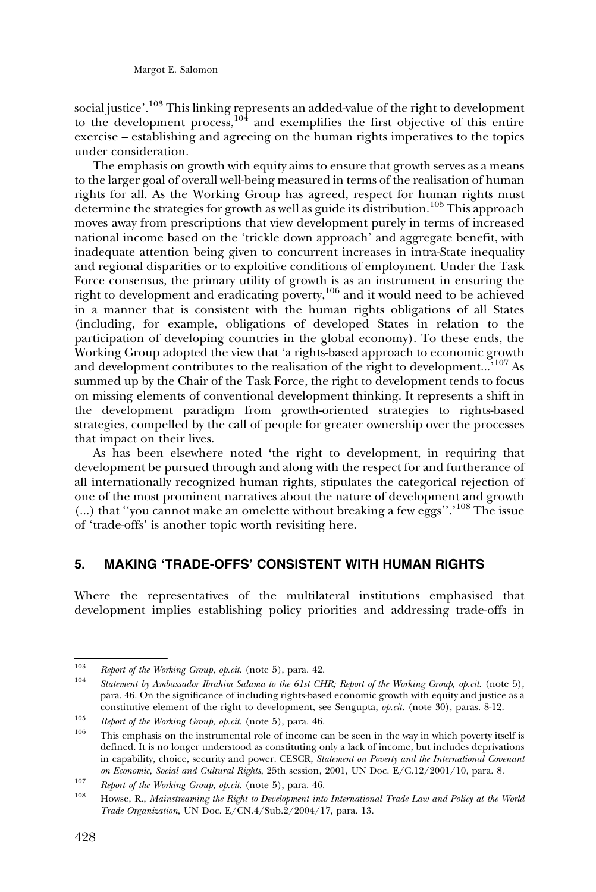social justice'.<sup>103</sup> This linking represents an added-value of the right to development to the development process, $10<sup>4</sup>$  and exemplifies the first objective of this entire exercise – establishing and agreeing on the human rights imperatives to the topics under consideration.

The emphasis on growth with equity aims to ensure that growth serves as a means to the larger goal of overall well-being measured in terms of the realisation of human rights for all. As the Working Group has agreed, respect for human rights must determine the strategies for growth as well as guide its distribution.<sup>105</sup> This approach moves away from prescriptions that view development purely in terms of increased national income based on the 'trickle down approach' and aggregate benefit, with inadequate attention being given to concurrent increases in intra-State inequality and regional disparities or to exploitive conditions of employment. Under the Task Force consensus, the primary utility of growth is as an instrument in ensuring the right to development and eradicating poverty,<sup>106</sup> and it would need to be achieved in a manner that is consistent with the human rights obligations of all States (including, for example, obligations of developed States in relation to the participation of developing countries in the global economy). To these ends, the Working Group adopted the view that 'a rights-based approach to economic growth and development contributes to the realisation of the right to development...'<sup>107</sup> As summed up by the Chair of the Task Force, the right to development tends to focus on missing elements of conventional development thinking. It represents a shift in the development paradigm from growth-oriented strategies to rights-based strategies, compelled by the call of people for greater ownership over the processes that impact on their lives.

As has been elsewhere noted 'the right to development, in requiring that development be pursued through and along with the respect for and furtherance of all internationally recognized human rights, stipulates the categorical rejection of one of the most prominent narratives about the nature of development and growth (...) that ''you cannot make an omelette without breaking a few eggs''.'108 The issue of 'trade-offs' is another topic worth revisiting here.

# 5. MAKING 'TRADE-OFFS' CONSISTENT WITH HUMAN RIGHTS

Where the representatives of the multilateral institutions emphasised that development implies establishing policy priorities and addressing trade-offs in

<sup>&</sup>lt;sup>103</sup> Report of the Working Group, op.cit. (note 5), para. 42.<br><sup>104</sup> Street that the deal of the state of the GL CI

Statement by Ambassador Ibrahim Salama to the 61st CHR; Report of the Working Group, op.cit. (note 5), para. 46. On the significance of including rights-based economic growth with equity and justice as a constitutive element of the right to development, see Sengupta, op.cit. (note 30), paras. 8-12.

<sup>&</sup>lt;sup>105</sup> Report of the Working Group, op.cit. (note 5), para. 46.

This emphasis on the instrumental role of income can be seen in the way in which poverty itself is defined. It is no longer understood as constituting only a lack of income, but includes deprivations in capability, choice, security and power. CESCR, Statement on Poverty and the International Covenant on Economic, Social and Cultural Rights, 25th session, 2001, UN Doc. E/C.12/2001/10, para. 8.

<sup>&</sup>lt;sup>107</sup> Report of the Working Group, op.cit. (note 5), para. 46.

<sup>108</sup> Howse, R., Mainstreaming the Right to Development into International Trade Law and Policy at the World Trade Organization, UN Doc. E/CN.4/Sub.2/2004/17, para. 13.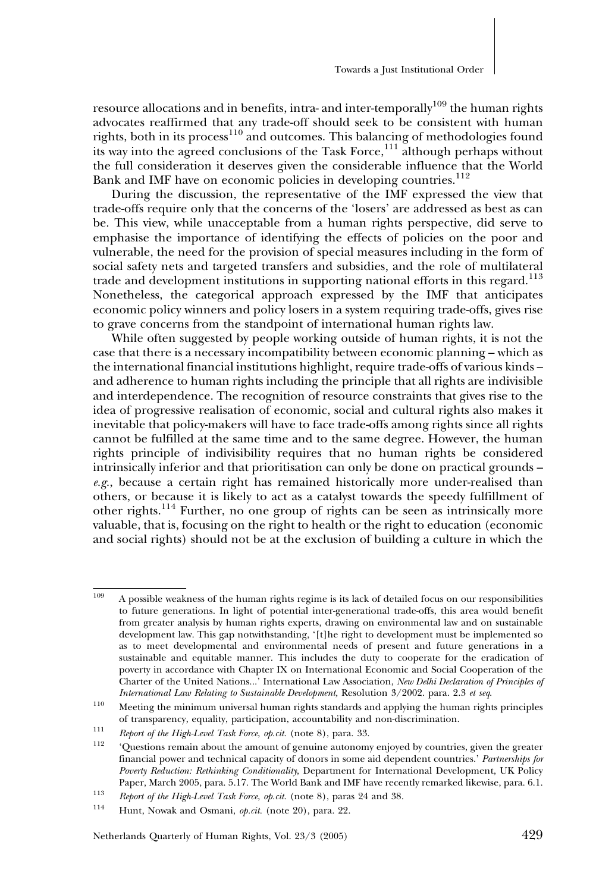resource allocations and in benefits, intra- and inter-temporally<sup>109</sup> the human rights advocates reaffirmed that any trade-off should seek to be consistent with human rights, both in its process<sup>110</sup> and outcomes. This balancing of methodologies found its way into the agreed conclusions of the Task Force,  $\frac{111}{9}$  although perhaps without the full consideration it deserves given the considerable influence that the World Bank and IMF have on economic policies in developing countries.<sup>112</sup>

During the discussion, the representative of the IMF expressed the view that trade-offs require only that the concerns of the 'losers' are addressed as best as can be. This view, while unacceptable from a human rights perspective, did serve to emphasise the importance of identifying the effects of policies on the poor and vulnerable, the need for the provision of special measures including in the form of social safety nets and targeted transfers and subsidies, and the role of multilateral trade and development institutions in supporting national efforts in this regard.<sup>113</sup> Nonetheless, the categorical approach expressed by the IMF that anticipates economic policy winners and policy losers in a system requiring trade-offs, gives rise to grave concerns from the standpoint of international human rights law.

While often suggested by people working outside of human rights, it is not the case that there is a necessary incompatibility between economic planning – which as the international financial institutions highlight, require trade-offs of various kinds – and adherence to human rights including the principle that all rights are indivisible and interdependence. The recognition of resource constraints that gives rise to the idea of progressive realisation of economic, social and cultural rights also makes it inevitable that policy-makers will have to face trade-offs among rights since all rights cannot be fulfilled at the same time and to the same degree. However, the human rights principle of indivisibility requires that no human rights be considered intrinsically inferior and that prioritisation can only be done on practical grounds – e.g., because a certain right has remained historically more under-realised than others, or because it is likely to act as a catalyst towards the speedy fulfillment of other rights.<sup>114</sup> Further, no one group of rights can be seen as intrinsically more valuable, that is, focusing on the right to health or the right to education (economic and social rights) should not be at the exclusion of building a culture in which the

<sup>109</sup> A possible weakness of the human rights regime is its lack of detailed focus on our responsibilities to future generations. In light of potential inter-generational trade-offs, this area would benefit from greater analysis by human rights experts, drawing on environmental law and on sustainable development law. This gap notwithstanding, '[t]he right to development must be implemented so as to meet developmental and environmental needs of present and future generations in a sustainable and equitable manner. This includes the duty to cooperate for the eradication of poverty in accordance with Chapter IX on International Economic and Social Cooperation of the Charter of the United Nations...' International Law Association, New Delhi Declaration of Principles of International Law Relating to Sustainable Development, Resolution 3/2002. para. 2.3 et seq.

<sup>&</sup>lt;sup>110</sup> Meeting the minimum universal human rights standards and applying the human rights principles of transparency, equality, participation, accountability and non-discrimination.

<sup>&</sup>lt;sup>111</sup> Report of the High-Level Task Force, op.cit. (note 8), para. 33.<br> $\frac{112}{12}$ 

<sup>112</sup> 'Questions remain about the amount of genuine autonomy enjoyed by countries, given the greater financial power and technical capacity of donors in some aid dependent countries.' Partnerships for Poverty Reduction: Rethinking Conditionality, Department for International Development, UK Policy Paper, March 2005, para. 5.17. The World Bank and IMF have recently remarked likewise, para. 6.1.

<sup>&</sup>lt;sup>113</sup> Report of the High-Level Task Force, op.cit. (note 8), paras 24 and 38.

Hunt, Nowak and Osmani, op.cit. (note 20), para. 22.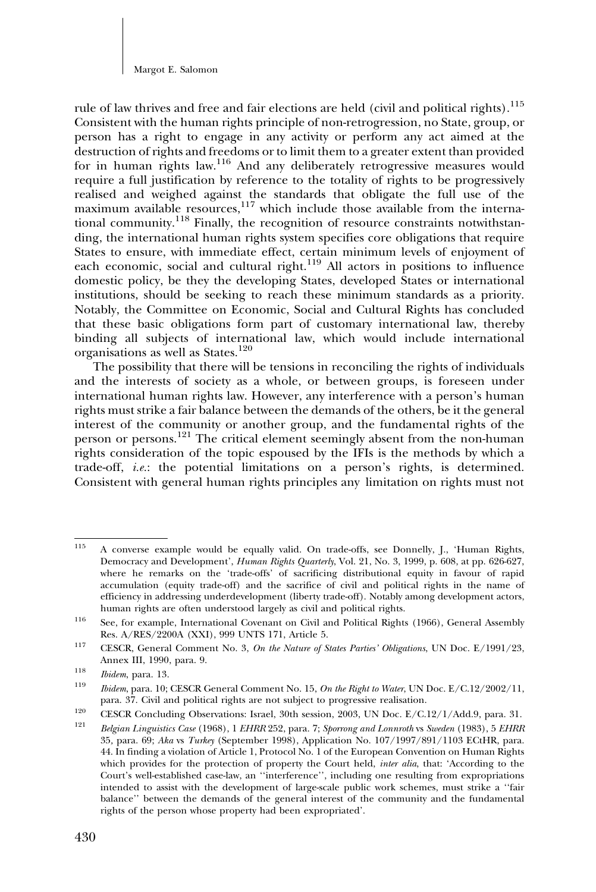rule of law thrives and free and fair elections are held (civil and political rights).<sup>115</sup> Consistent with the human rights principle of non-retrogression, no State, group, or person has a right to engage in any activity or perform any act aimed at the destruction of rights and freedoms or to limit them to a greater extent than provided for in human rights law.<sup>116</sup> And any deliberately retrogressive measures would require a full justification by reference to the totality of rights to be progressively realised and weighed against the standards that obligate the full use of the maximum available resources, $117$  which include those available from the international community.<sup>118</sup> Finally, the recognition of resource constraints notwithstanding, the international human rights system specifies core obligations that require States to ensure, with immediate effect, certain minimum levels of enjoyment of each economic, social and cultural right. $119$  All actors in positions to influence domestic policy, be they the developing States, developed States or international institutions, should be seeking to reach these minimum standards as a priority. Notably, the Committee on Economic, Social and Cultural Rights has concluded that these basic obligations form part of customary international law, thereby binding all subjects of international law, which would include international organisations as well as States.<sup>120</sup>

The possibility that there will be tensions in reconciling the rights of individuals and the interests of society as a whole, or between groups, is foreseen under international human rights law. However, any interference with a person's human rights must strike a fair balance between the demands of the others, be it the general interest of the community or another group, and the fundamental rights of the person or persons.121 The critical element seemingly absent from the non-human rights consideration of the topic espoused by the IFIs is the methods by which a trade-off, *i.e.*: the potential limitations on a person's rights, is determined. Consistent with general human rights principles any limitation on rights must not

<sup>115</sup> A converse example would be equally valid. On trade-offs, see Donnelly, J., 'Human Rights, Democracy and Development', *Human Rights Quarterly*, Vol. 21, No. 3, 1999, p. 608, at pp. 626-627, where he remarks on the 'trade-offs' of sacrificing distributional equity in favour of rapid accumulation (equity trade-off) and the sacrifice of civil and political rights in the name of efficiency in addressing underdevelopment (liberty trade-off). Notably among development actors, human rights are often understood largely as civil and political rights.

<sup>116</sup> See, for example, International Covenant on Civil and Political Rights (1966), General Assembly Res. A/RES/2200A (XXI), 999 UNTS 171, Article 5.

<sup>&</sup>lt;sup>117</sup> CESCR, General Comment No. 3, On the Nature of States Parties' Obligations, UN Doc. E/1991/23, Annex III, 1990, para. 9.

 $118$  *Ibidem*, para. 13.

<sup>119</sup> Ibidem, para. 10; CESCR General Comment No. 15, On the Right to Water, UN Doc. E/C.12/2002/11, para. 37. Civil and political rights are not subject to progressive realisation.

<sup>&</sup>lt;sup>120</sup> CESCR Concluding Observations: Israel, 30th session, 2003, UN Doc. E/C.12/1/Add.9, para. 31.

Belgian Linguistics Case (1968), 1 EHRR 252, para. 7; Sporrong and Lonnroth vs Sweden (1983), 5 EHRR 35, para. 69; Aka vs Turkey (September 1998), Application No. 107/1997/891/1103 ECtHR, para. 44. In finding a violation of Article 1, Protocol No. 1 of the European Convention on Human Rights which provides for the protection of property the Court held, *inter alia*, that: 'According to the Court's well-established case-law, an ''interference'', including one resulting from expropriations intended to assist with the development of large-scale public work schemes, must strike a ''fair balance'' between the demands of the general interest of the community and the fundamental rights of the person whose property had been expropriated'.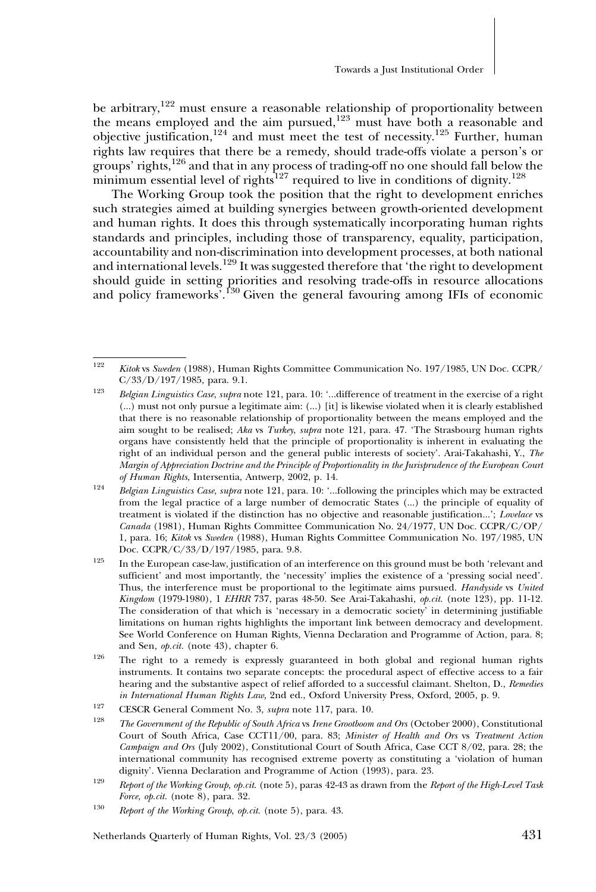be arbitrary,<sup>122</sup> must ensure a reasonable relationship of proportionality between the means employed and the aim pursued, $123$  must have both a reasonable and objective justification,<sup>124</sup> and must meet the test of necessity.<sup>125</sup> Further, human rights law requires that there be a remedy, should trade-offs violate a person's or groups' rights,126 and that in any process of trading-off no one should fall below the minimum essential level of rights<sup>127</sup> required to live in conditions of dignity.<sup>128</sup>

The Working Group took the position that the right to development enriches such strategies aimed at building synergies between growth-oriented development and human rights. It does this through systematically incorporating human rights standards and principles, including those of transparency, equality, participation, accountability and non-discrimination into development processes, at both national and international levels.<sup>129</sup> It was suggested therefore that 'the right to development should guide in setting priorities and resolving trade-offs in resource allocations and policy frameworks<sup>7</sup>.<sup>130</sup> Given the general favouring among IFIs of economic

Netherlands Quarterly of Human Rights, Vol. 23/3 (2005) 431

<sup>&</sup>lt;sup>122</sup> Kitok vs Sweden (1988), Human Rights Committee Communication No. 197/1985, UN Doc. CCPR/ C/33/D/197/1985, para. 9.1.

<sup>&</sup>lt;sup>123</sup> Belgian Linguistics Case, supra note 121, para. 10: '...difference of treatment in the exercise of a right (...) must not only pursue a legitimate aim: (...) [it] is likewise violated when it is clearly established that there is no reasonable relationship of proportionality between the means employed and the aim sought to be realised; Aka vs Turkey, supra note 121, para. 47. 'The Strasbourg human rights organs have consistently held that the principle of proportionality is inherent in evaluating the right of an individual person and the general public interests of society'. Arai-Takahashi, Y., The Margin of Appreciation Doctrine and the Principle of Proportionality in the Jurisprudence of the European Court of Human Rights, Intersentia, Antwerp, 2002, p. 14.

<sup>&</sup>lt;sup>124</sup> Belgian Linguistics Case, supra note 121, para. 10: '...following the principles which may be extracted from the legal practice of a large number of democratic States (...) the principle of equality of treatment is violated if the distinction has no objective and reasonable justification...'; Lovelace vs Canada (1981), Human Rights Committee Communication No. 24/1977, UN Doc. CCPR/C/OP/ 1, para. 16; Kitok vs Sweden (1988), Human Rights Committee Communication No. 197/1985, UN Doc. CCPR/C/33/D/197/1985, para. 9.8.

<sup>&</sup>lt;sup>125</sup> In the European case-law, justification of an interference on this ground must be both 'relevant and sufficient' and most importantly, the 'necessity' implies the existence of a 'pressing social need'. Thus, the interference must be proportional to the legitimate aims pursued. Handyside vs United Kingdom (1979-1980), 1 EHRR 737, paras 48-50. See Arai-Takahashi, op.cit. (note 123), pp. 11-12. The consideration of that which is 'necessary in a democratic society' in determining justifiable limitations on human rights highlights the important link between democracy and development. See World Conference on Human Rights, Vienna Declaration and Programme of Action, para. 8; and Sen, op.cit. (note 43), chapter 6.

<sup>&</sup>lt;sup>126</sup> The right to a remedy is expressly guaranteed in both global and regional human rights instruments. It contains two separate concepts: the procedural aspect of effective access to a fair hearing and the substantive aspect of relief afforded to a successful claimant. Shelton, D., Remedies in International Human Rights Law, 2nd ed., Oxford University Press, Oxford, 2005, p. 9.

<sup>&</sup>lt;sup>127</sup> CESCR General Comment No. 3, *supra* note 117, para. 10.

<sup>&</sup>lt;sup>128</sup> The Government of the Republic of South Africa vs Irene Grootboom and Ors (October 2000), Constitutional Court of South Africa, Case CCT11/00, para. 83; Minister of Health and Ors vs Treatment Action Campaign and Ors (July 2002), Constitutional Court of South Africa, Case CCT 8/02, para. 28; the international community has recognised extreme poverty as constituting a 'violation of human dignity'. Vienna Declaration and Programme of Action (1993), para. 23.

<sup>&</sup>lt;sup>129</sup> Report of the Working Group, op.cit. (note 5), paras  $42-43$  as drawn from the Report of the High-Level Task Force, op.cit. (note 8), para. 32.

<sup>&</sup>lt;sup>130</sup> Report of the Working Group, op.cit. (note 5), para. 43.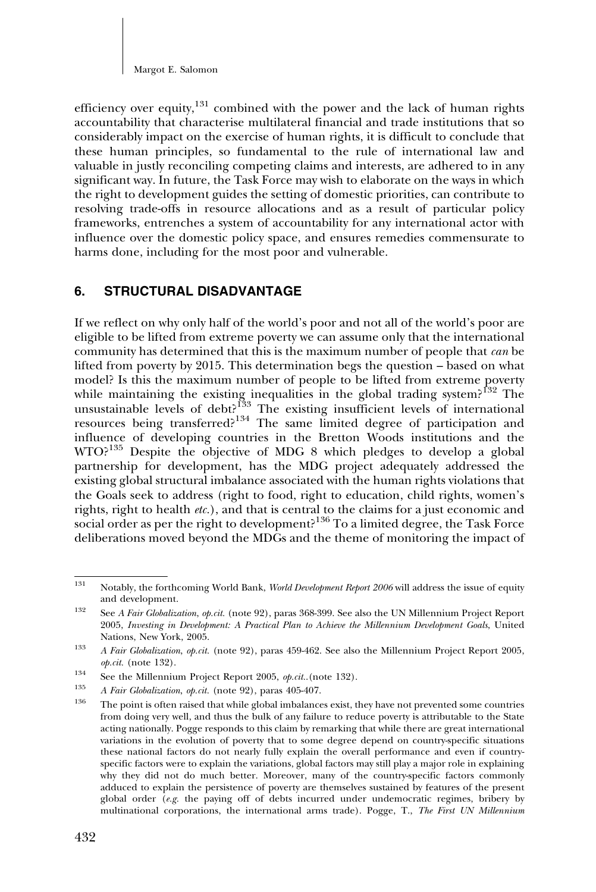efficiency over equity,<sup>131</sup> combined with the power and the lack of human rights accountability that characterise multilateral financial and trade institutions that so considerably impact on the exercise of human rights, it is difficult to conclude that these human principles, so fundamental to the rule of international law and valuable in justly reconciling competing claims and interests, are adhered to in any significant way. In future, the Task Force may wish to elaborate on the ways in which the right to development guides the setting of domestic priorities, can contribute to resolving trade-offs in resource allocations and as a result of particular policy frameworks, entrenches a system of accountability for any international actor with influence over the domestic policy space, and ensures remedies commensurate to harms done, including for the most poor and vulnerable.

# 6. STRUCTURAL DISADVANTAGE

If we reflect on why only half of the world's poor and not all of the world's poor are eligible to be lifted from extreme poverty we can assume only that the international community has determined that this is the maximum number of people that can be lifted from poverty by 2015. This determination begs the question – based on what model? Is this the maximum number of people to be lifted from extreme poverty while maintaining the existing inequalities in the global trading system? $^{132}$  The unsustainable levels of debt?<sup>133</sup> The existing insufficient levels of international resources being transferred?<sup>134</sup> The same limited degree of participation and influence of developing countries in the Bretton Woods institutions and the WTO?135 Despite the objective of MDG 8 which pledges to develop a global partnership for development, has the MDG project adequately addressed the existing global structural imbalance associated with the human rights violations that the Goals seek to address (right to food, right to education, child rights, women's rights, right to health etc.), and that is central to the claims for a just economic and social order as per the right to development?<sup>136</sup> To a limited degree, the Task Force deliberations moved beyond the MDGs and the theme of monitoring the impact of

<sup>&</sup>lt;sup>131</sup> Notably, the forthcoming World Bank, *World Development Report 2006* will address the issue of equity and development.

<sup>&</sup>lt;sup>132</sup> See A Fair Globalization, op.cit. (note 92), paras 368-399. See also the UN Millennium Project Report 2005, Investing in Development: A Practical Plan to Achieve the Millennium Development Goals, United Nations, New York, 2005.

<sup>&</sup>lt;sup>133</sup> A Fair Globalization, op.cit. (note 92), paras 459-462. See also the Millennium Project Report 2005, op.cit. (note 132).

<sup>&</sup>lt;sup>134</sup> See the Millennium Project Report 2005, *op.cit.*.(note 132).

<sup>&</sup>lt;sup>135</sup> A Fair Globalization, op.cit. (note 92), paras 405-407.

<sup>136</sup> The point is often raised that while global imbalances exist, they have not prevented some countries from doing very well, and thus the bulk of any failure to reduce poverty is attributable to the State acting nationally. Pogge responds to this claim by remarking that while there are great international variations in the evolution of poverty that to some degree depend on country-specific situations these national factors do not nearly fully explain the overall performance and even if countryspecific factors were to explain the variations, global factors may still play a major role in explaining why they did not do much better. Moreover, many of the country-specific factors commonly adduced to explain the persistence of poverty are themselves sustained by features of the present global order  $(e.g.$  the paying off of debts incurred under undemocratic regimes, bribery by multinational corporations, the international arms trade). Pogge, T., The First UN Millennium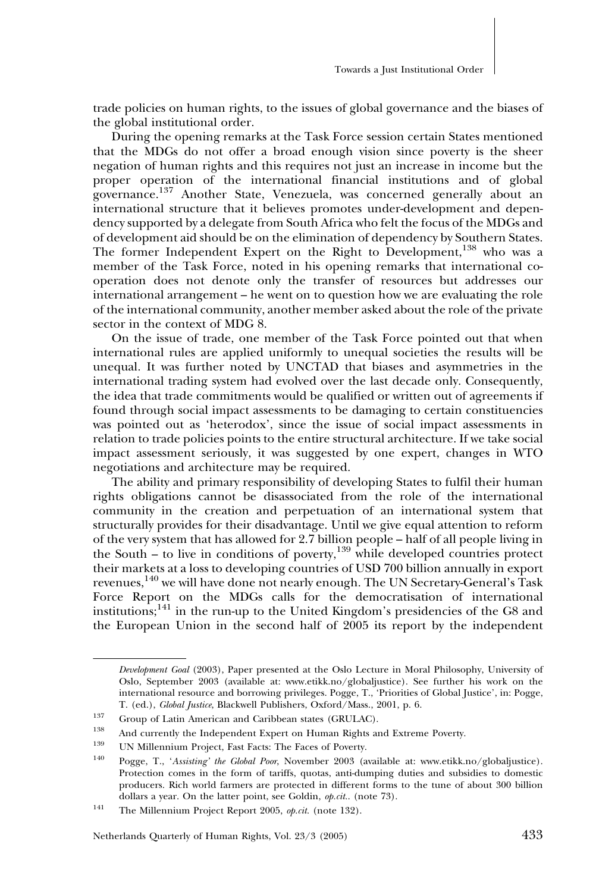trade policies on human rights, to the issues of global governance and the biases of the global institutional order.

During the opening remarks at the Task Force session certain States mentioned that the MDGs do not offer a broad enough vision since poverty is the sheer negation of human rights and this requires not just an increase in income but the proper operation of the international financial institutions and of global governance.<sup>137</sup> Another State, Venezuela, was concerned generally about an international structure that it believes promotes under-development and dependency supported by a delegate from South Africa who felt the focus of the MDGs and of development aid should be on the elimination of dependency by Southern States. The former Independent Expert on the Right to Development,<sup>138</sup> who was a member of the Task Force, noted in his opening remarks that international cooperation does not denote only the transfer of resources but addresses our international arrangement – he went on to question how we are evaluating the role of the international community, another member asked about the role of the private sector in the context of MDG 8.

On the issue of trade, one member of the Task Force pointed out that when international rules are applied uniformly to unequal societies the results will be unequal. It was further noted by UNCTAD that biases and asymmetries in the international trading system had evolved over the last decade only. Consequently, the idea that trade commitments would be qualified or written out of agreements if found through social impact assessments to be damaging to certain constituencies was pointed out as 'heterodox', since the issue of social impact assessments in relation to trade policies points to the entire structural architecture. If we take social impact assessment seriously, it was suggested by one expert, changes in WTO negotiations and architecture may be required.

The ability and primary responsibility of developing States to fulfil their human rights obligations cannot be disassociated from the role of the international community in the creation and perpetuation of an international system that structurally provides for their disadvantage. Until we give equal attention to reform of the very system that has allowed for 2.7 billion people – half of all people living in the South – to live in conditions of poverty, $139$  while developed countries protect their markets at a loss to developing countries of USD 700 billion annually in export revenues,140 we will have done not nearly enough. The UN Secretary-General's Task Force Report on the MDGs calls for the democratisation of international institutions;<sup>141</sup> in the run-up to the United Kingdom's presidencies of the G8 and the European Union in the second half of 2005 its report by the independent

Development Goal (2003), Paper presented at the Oslo Lecture in Moral Philosophy, University of Oslo, September 2003 (available at: www.etikk.no/globaljustice). See further his work on the international resource and borrowing privileges. Pogge, T., 'Priorities of Global Justice', in: Pogge, T. (ed.), Global Justice, Blackwell Publishers, Oxford/Mass., 2001, p. 6.

<sup>&</sup>lt;sup>137</sup> Group of Latin American and Caribbean states (GRULAC).

<sup>&</sup>lt;sup>138</sup> And currently the Independent Expert on Human Rights and Extreme Poverty.

UN Millennium Project, Fast Facts: The Faces of Poverty.

<sup>&</sup>lt;sup>140</sup> Pogge, T., 'Assisting' the Global Poor, November 2003 (available at: www.etikk.no/globaliustice). Protection comes in the form of tariffs, quotas, anti-dumping duties and subsidies to domestic producers. Rich world farmers are protected in different forms to the tune of about 300 billion dollars a year. On the latter point, see Goldin, op.cit.. (note 73).

<sup>&</sup>lt;sup>141</sup> The Millennium Project Report 2005, *op.cit.* (note 132).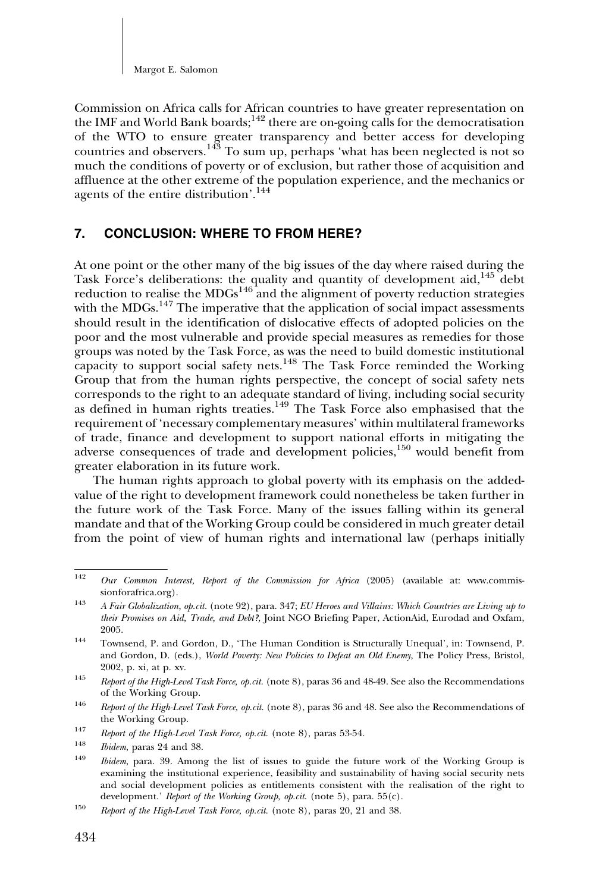Commission on Africa calls for African countries to have greater representation on the IMF and World Bank boards;<sup>142</sup> there are on-going calls for the democratisation of the WTO to ensure greater transparency and better access for developing countries and observers.<sup>143</sup> To sum up, perhaps 'what has been neglected is not so much the conditions of poverty or of exclusion, but rather those of acquisition and affluence at the other extreme of the population experience, and the mechanics or agents of the entire distribution'.<sup>144</sup>

# 7. CONCLUSION: WHERE TO FROM HERE?

At one point or the other many of the big issues of the day where raised during the Task Force's deliberations: the quality and quantity of development aid,<sup>145</sup> debt reduction to realise the MDGs<sup>146</sup> and the alignment of poverty reduction strategies with the MDGs.<sup>147</sup> The imperative that the application of social impact assessments should result in the identification of dislocative effects of adopted policies on the poor and the most vulnerable and provide special measures as remedies for those groups was noted by the Task Force, as was the need to build domestic institutional capacity to support social safety nets.<sup>148</sup> The Task Force reminded the Working Group that from the human rights perspective, the concept of social safety nets corresponds to the right to an adequate standard of living, including social security as defined in human rights treaties.<sup>149</sup> The Task Force also emphasised that the requirement of 'necessary complementary measures' within multilateral frameworks of trade, finance and development to support national efforts in mitigating the adverse consequences of trade and development policies,<sup>150</sup> would benefit from greater elaboration in its future work.

The human rights approach to global poverty with its emphasis on the addedvalue of the right to development framework could nonetheless be taken further in the future work of the Task Force. Many of the issues falling within its general mandate and that of the Working Group could be considered in much greater detail from the point of view of human rights and international law (perhaps initially

<sup>&</sup>lt;sup>142</sup> Our Common Interest, Report of the Commission for Africa (2005) (available at: www.commissionforafrica.org).

<sup>&</sup>lt;sup>143</sup> A Fair Globalization, op.cit. (note 92), para. 347; EU Heroes and Villains: Which Countries are Living up to their Promises on Aid, Trade, and Debt?, Joint NGO Briefing Paper, ActionAid, Eurodad and Oxfam, 2005.

<sup>144</sup> Townsend, P. and Gordon, D., 'The Human Condition is Structurally Unequal', in: Townsend, P. and Gordon, D. (eds.), World Poverty: New Policies to Defeat an Old Enemy, The Policy Press, Bristol, 2002, p. xi, at p. xv.

<sup>&</sup>lt;sup>145</sup> Report of the High-Level Task Force, op.cit. (note 8), paras 36 and 48-49. See also the Recommendations of the Working Group.

<sup>&</sup>lt;sup>146</sup> Report of the High-Level Task Force, op.cit. (note 8), paras 36 and 48. See also the Recommendations of the Working Group.

<sup>&</sup>lt;sup>147</sup> Report of the High-Level Task Force, op.cit. (note 8), paras 53-54.

Ibidem, paras 24 and 38.

 $149$  *Ibidem*, para. 39. Among the list of issues to guide the future work of the Working Group is examining the institutional experience, feasibility and sustainability of having social security nets and social development policies as entitlements consistent with the realisation of the right to development.' Report of the Working Group, op.cit. (note 5), para. 55(c).

<sup>150</sup> Report of the High-Level Task Force, op.cit. (note 8), paras 20, 21 and 38.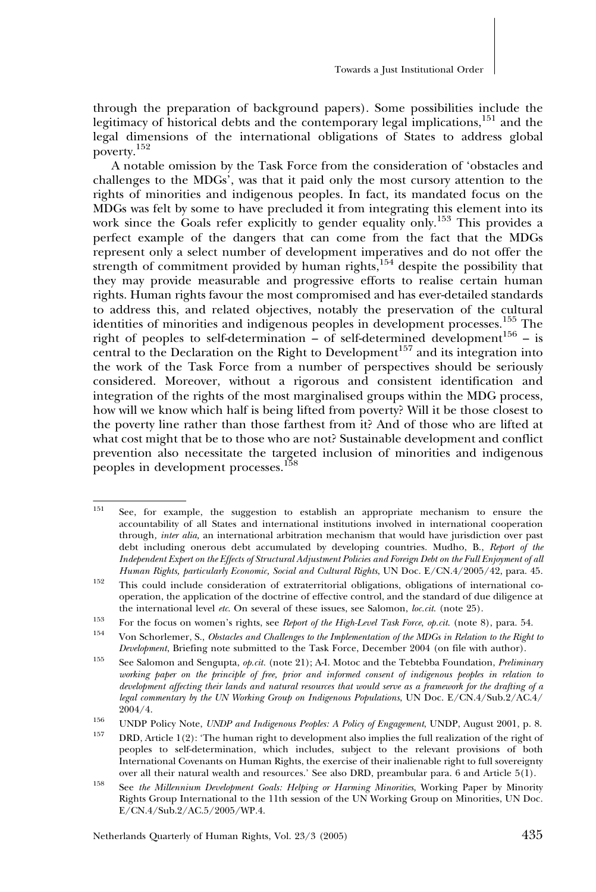through the preparation of background papers). Some possibilities include the legitimacy of historical debts and the contemporary legal implications, $151$  and the legal dimensions of the international obligations of States to address global poverty.<sup>152</sup>

A notable omission by the Task Force from the consideration of 'obstacles and challenges to the MDGs', was that it paid only the most cursory attention to the rights of minorities and indigenous peoples. In fact, its mandated focus on the MDGs was felt by some to have precluded it from integrating this element into its work since the Goals refer explicitly to gender equality only.<sup>153</sup> This provides a perfect example of the dangers that can come from the fact that the MDGs represent only a select number of development imperatives and do not offer the strength of commitment provided by human rights,<sup>154</sup> despite the possibility that they may provide measurable and progressive efforts to realise certain human rights. Human rights favour the most compromised and has ever-detailed standards to address this, and related objectives, notably the preservation of the cultural identities of minorities and indigenous peoples in development processes.<sup>155</sup> The right of peoples to self-determination – of self-determined development<sup>156</sup> – is central to the Declaration on the Right to Development<sup>157</sup> and its integration into the work of the Task Force from a number of perspectives should be seriously considered. Moreover, without a rigorous and consistent identification and integration of the rights of the most marginalised groups within the MDG process, how will we know which half is being lifted from poverty? Will it be those closest to the poverty line rather than those farthest from it? And of those who are lifted at what cost might that be to those who are not? Sustainable development and conflict prevention also necessitate the targeted inclusion of minorities and indigenous peoples in development processes.<sup>158</sup>

<sup>151</sup> See, for example, the suggestion to establish an appropriate mechanism to ensure the accountability of all States and international institutions involved in international cooperation through, inter alia, an international arbitration mechanism that would have jurisdiction over past debt including onerous debt accumulated by developing countries. Mudho, B., Report of the Independent Expert on the Effects of Structural Adjustment Policies and Foreign Debt on the Full Enjoyment of all Human Rights, particularly Economic, Social and Cultural Rights, UN Doc. E/CN.4/2005/42, para. 45.

<sup>&</sup>lt;sup>152</sup> This could include consideration of extraterritorial obligations, obligations of international cooperation, the application of the doctrine of effective control, and the standard of due diligence at the international level etc. On several of these issues, see Salomon, loc.cit. (note 25).

<sup>&</sup>lt;sup>153</sup> For the focus on women's rights, see Report of the High-Level Task Force, op.cit. (note 8), para. 54.

<sup>154</sup> Von Schorlemer, S., Obstacles and Challenges to the Implementation of the MDGs in Relation to the Right to Development, Briefing note submitted to the Task Force, December 2004 (on file with author).

<sup>&</sup>lt;sup>155</sup> See Salomon and Sengupta, *op.cit.* (note 21); A-I. Motoc and the Tebtebba Foundation, *Preliminary* working paper on the principle of free, prior and informed consent of indigenous peoples in relation to development affecting their lands and natural resources that would serve as a framework for the drafting of a legal commentary by the UN Working Group on Indigenous Populations, UN Doc. E/CN.4/Sub.2/AC.4/ 2004/4.

<sup>&</sup>lt;sup>156</sup> UNDP Policy Note, UNDP and Indigenous Peoples: A Policy of Engagement, UNDP, August 2001, p. 8.<br><sup>157</sup> PRD A st. 1, 160 STL 1, the state of the state of the state of the state of the st. 150 St.

<sup>157</sup> DRD, Article 1(2): 'The human right to development also implies the full realization of the right of peoples to self-determination, which includes, subject to the relevant provisions of both International Covenants on Human Rights, the exercise of their inalienable right to full sovereignty over all their natural wealth and resources.' See also DRD, preambular para. 6 and Article 5(1).

<sup>&</sup>lt;sup>158</sup> See the Millennium Development Goals: Helping or Harming Minorities, Working Paper by Minority Rights Group International to the 11th session of the UN Working Group on Minorities, UN Doc. E/CN.4/Sub.2/AC.5/2005/WP.4.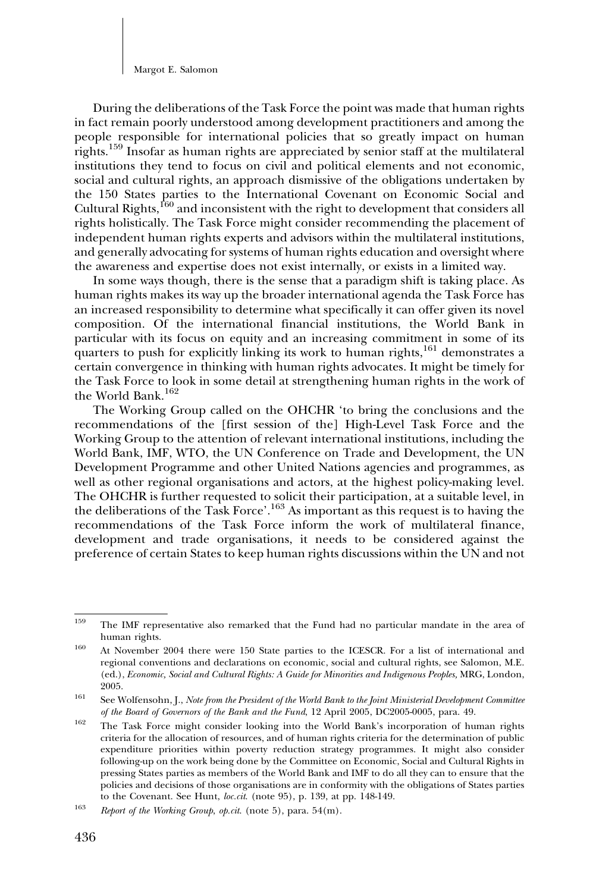During the deliberations of the Task Force the point was made that human rights in fact remain poorly understood among development practitioners and among the people responsible for international policies that so greatly impact on human rights.<sup>159</sup> Insofar as human rights are appreciated by senior staff at the multilateral institutions they tend to focus on civil and political elements and not economic, social and cultural rights, an approach dismissive of the obligations undertaken by the 150 States parties to the International Covenant on Economic Social and Cultural Rights, $160$  and inconsistent with the right to development that considers all rights holistically. The Task Force might consider recommending the placement of independent human rights experts and advisors within the multilateral institutions, and generally advocating for systems of human rights education and oversight where the awareness and expertise does not exist internally, or exists in a limited way.

In some ways though, there is the sense that a paradigm shift is taking place. As human rights makes its way up the broader international agenda the Task Force has an increased responsibility to determine what specifically it can offer given its novel composition. Of the international financial institutions, the World Bank in particular with its focus on equity and an increasing commitment in some of its quarters to push for explicitly linking its work to human rights,<sup>161</sup> demonstrates a certain convergence in thinking with human rights advocates. It might be timely for the Task Force to look in some detail at strengthening human rights in the work of the World Bank.<sup>162</sup>

The Working Group called on the OHCHR 'to bring the conclusions and the recommendations of the [first session of the] High-Level Task Force and the Working Group to the attention of relevant international institutions, including the World Bank, IMF, WTO, the UN Conference on Trade and Development, the UN Development Programme and other United Nations agencies and programmes, as well as other regional organisations and actors, at the highest policy-making level. The OHCHR is further requested to solicit their participation, at a suitable level, in the deliberations of the Task Force'.<sup>163</sup> As important as this request is to having the recommendations of the Task Force inform the work of multilateral finance, development and trade organisations, it needs to be considered against the preference of certain States to keep human rights discussions within the UN and not

<sup>&</sup>lt;sup>159</sup> The IMF representative also remarked that the Fund had no particular mandate in the area of human rights.

<sup>160</sup> At November 2004 there were 150 State parties to the ICESCR. For a list of international and regional conventions and declarations on economic, social and cultural rights, see Salomon, M.E. (ed.), Economic, Social and Cultural Rights: A Guide for Minorities and Indigenous Peoples, MRG, London, 2005.

<sup>&</sup>lt;sup>161</sup> See Wolfensohn, J., Note from the President of the World Bank to the Joint Ministerial Development Committee of the Board of Governors of the Bank and the Fund, 12 April 2005, DC2005-0005, para. 49.

<sup>&</sup>lt;sup>162</sup> The Task Force might consider looking into the World Bank's incorporation of human rights criteria for the allocation of resources, and of human rights criteria for the determination of public expenditure priorities within poverty reduction strategy programmes. It might also consider following-up on the work being done by the Committee on Economic, Social and Cultural Rights in pressing States parties as members of the World Bank and IMF to do all they can to ensure that the policies and decisions of those organisations are in conformity with the obligations of States parties to the Covenant. See Hunt, loc.cit. (note 95), p. 139, at pp. 148-149.

<sup>&</sup>lt;sup>163</sup> Report of the Working Group, op.cit. (note 5), para.  $54(m)$ .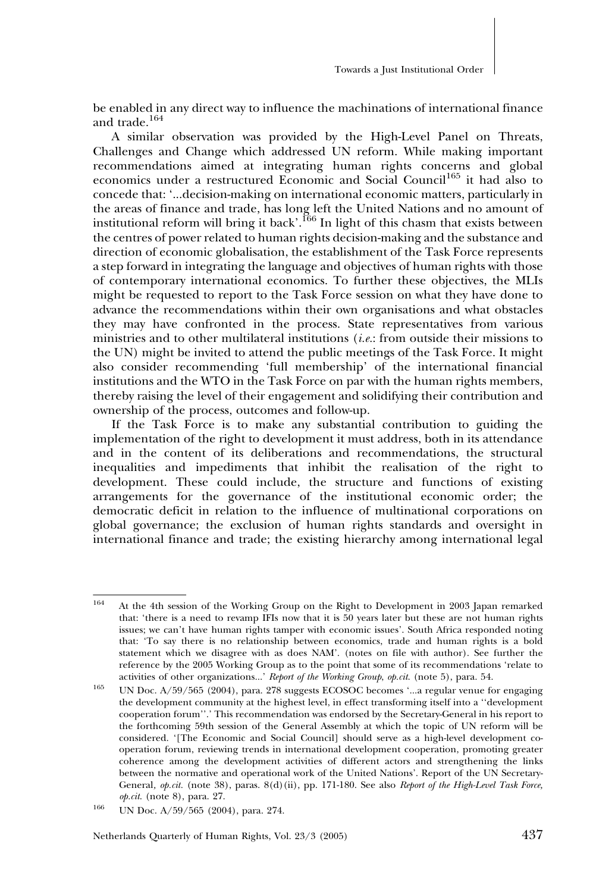be enabled in any direct way to influence the machinations of international finance and trade.<sup>164</sup>

A similar observation was provided by the High-Level Panel on Threats, Challenges and Change which addressed UN reform. While making important recommendations aimed at integrating human rights concerns and global economics under a restructured Economic and Social Council<sup>165</sup> it had also to concede that: '...decision-making on international economic matters, particularly in the areas of finance and trade, has long left the United Nations and no amount of institutional reform will bring it back'.  $^{166}$  In light of this chasm that exists between the centres of power related to human rights decision-making and the substance and direction of economic globalisation, the establishment of the Task Force represents a step forward in integrating the language and objectives of human rights with those of contemporary international economics. To further these objectives, the MLIs might be requested to report to the Task Force session on what they have done to advance the recommendations within their own organisations and what obstacles they may have confronted in the process. State representatives from various ministries and to other multilateral institutions (*i.e.*: from outside their missions to the UN) might be invited to attend the public meetings of the Task Force. It might also consider recommending 'full membership' of the international financial institutions and the WTO in the Task Force on par with the human rights members, thereby raising the level of their engagement and solidifying their contribution and ownership of the process, outcomes and follow-up.

If the Task Force is to make any substantial contribution to guiding the implementation of the right to development it must address, both in its attendance and in the content of its deliberations and recommendations, the structural inequalities and impediments that inhibit the realisation of the right to development. These could include, the structure and functions of existing arrangements for the governance of the institutional economic order; the democratic deficit in relation to the influence of multinational corporations on global governance; the exclusion of human rights standards and oversight in international finance and trade; the existing hierarchy among international legal

<sup>&</sup>lt;sup>164</sup> At the 4th session of the Working Group on the Right to Development in 2003 Japan remarked that: 'there is a need to revamp IFIs now that it is 50 years later but these are not human rights issues; we can't have human rights tamper with economic issues'. South Africa responded noting that: 'To say there is no relationship between economics, trade and human rights is a bold statement which we disagree with as does NAM'. (notes on file with author). See further the reference by the 2005 Working Group as to the point that some of its recommendations 'relate to activities of other organizations...' Report of the Working Group, op.cit. (note 5), para. 54.

<sup>165</sup> UN Doc. A/59/565 (2004), para. 278 suggests ECOSOC becomes '...a regular venue for engaging the development community at the highest level, in effect transforming itself into a ''development cooperation forum''.' This recommendation was endorsed by the Secretary-General in his report to the forthcoming 59th session of the General Assembly at which the topic of UN reform will be considered. '[The Economic and Social Council] should serve as a high-level development cooperation forum, reviewing trends in international development cooperation, promoting greater coherence among the development activities of different actors and strengthening the links between the normative and operational work of the United Nations'. Report of the UN Secretary-General, *op.cit.* (note 38), paras.  $8(d)$ (ii), pp. 171-180. See also *Report of the High-Level Task Force*, op.cit. (note 8), para. 27.

<sup>&</sup>lt;sup>166</sup> UN Doc. A/59/565 (2004), para. 274.